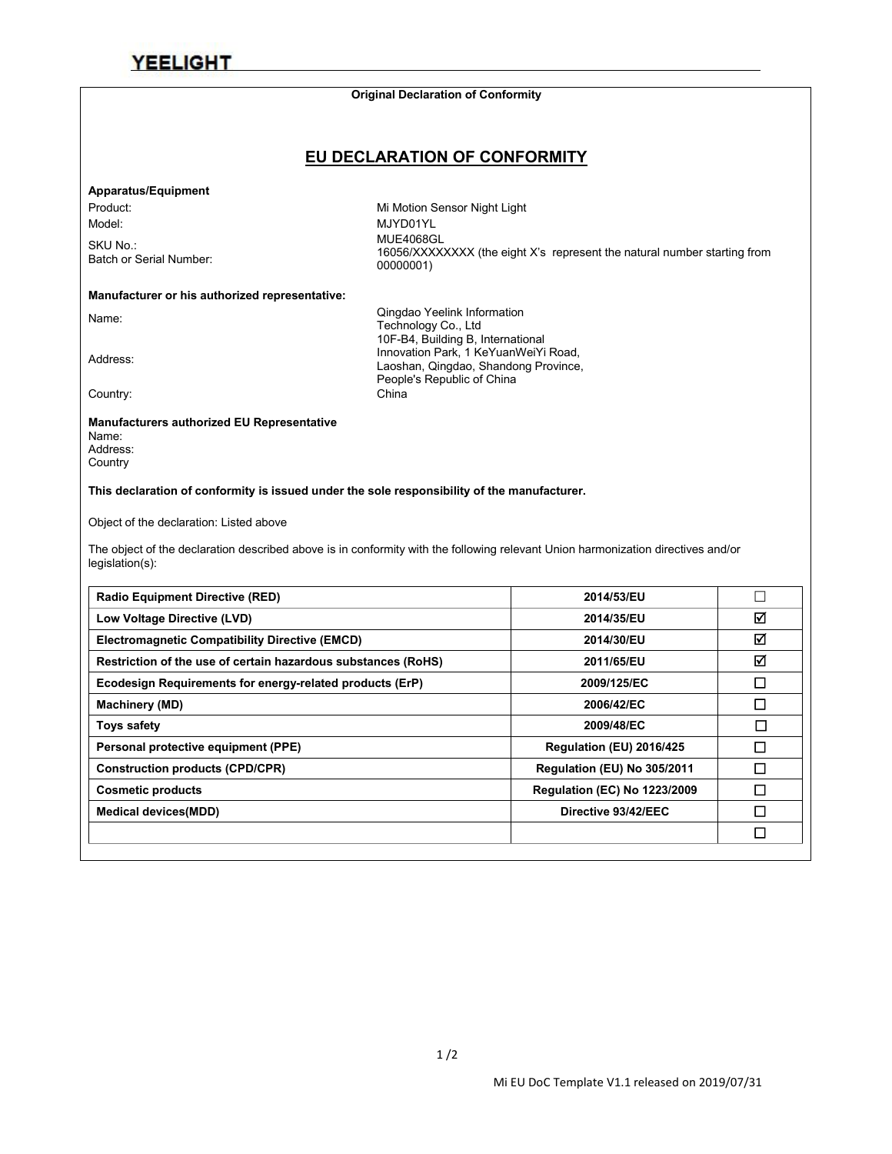#### **Original Declaration of Conformity**

### **EU DECLARATION OF CONFORMITY**

#### **Apparatus/Equipment**

SKU No.:<br>Batch or Serial Number:

Product: Night Light Contract Contract Mi Motion Sensor Night Light Model: MJYD01YL SKU No.:<br>16056/XXXXXXXX (the eight X's represent the natural number starting from<br>00000001\/ 00000001)

#### **Manufacturer or his authorized representative:**

Name: Qingdao Yeelink Information Technology Co., Ltd 10F-B4, Building B, International<br>Innovation Park, 1 KeYuanWeiYi Road,<br>Loophan, Oinadoo, Shandoog Province Laoshan, Qingdao, Shandong Province, People's Republic of China **Country:** Country: Executive China **China** China **China** China **China** China China China China China China China China China China China China China China China China China China China China China China China China China

#### **Manufacturers authorized EU Representative**

Name: Address: **Country** 

#### **This declaration of conformity is issued under the sole responsibility of the manufacturer.**

Object of the declaration: Listed above

The object of the declaration described above is in conformity with the following relevant Union harmonization directives and/or legislation(s):

| <b>Radio Equipment Directive (RED)</b>                        | 2014/53/EU                          | $\Box$ |
|---------------------------------------------------------------|-------------------------------------|--------|
| Low Voltage Directive (LVD)                                   | 2014/35/EU                          | ☑      |
| <b>Electromagnetic Compatibility Directive (EMCD)</b>         | 2014/30/EU                          | ☑      |
| Restriction of the use of certain hazardous substances (RoHS) | 2011/65/EU                          | ☑      |
| Ecodesign Requirements for energy-related products (ErP)      | 2009/125/EC                         | ◻      |
| <b>Machinery (MD)</b>                                         | 2006/42/EC                          | □      |
| Toys safety                                                   | 2009/48/EC                          | $\Box$ |
| Personal protective equipment (PPE)                           | Regulation (EU) 2016/425            | □      |
| <b>Construction products (CPD/CPR)</b>                        | Regulation (EU) No 305/2011         | □      |
| <b>Cosmetic products</b>                                      | <b>Regulation (EC) No 1223/2009</b> | □      |
| <b>Medical devices(MDD)</b>                                   | Directive 93/42/EEC                 | □      |
|                                                               |                                     | ◻      |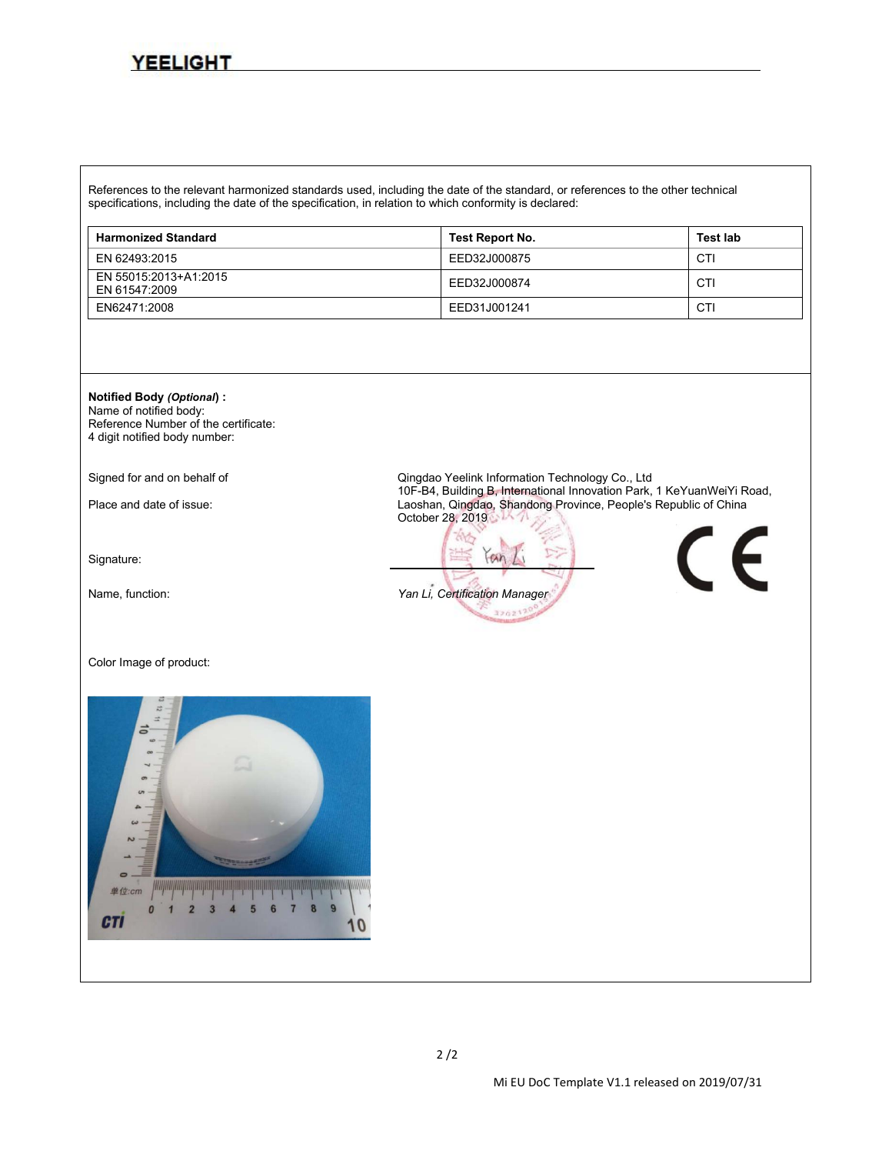References to the relevant harmonized standards used, including the date of the standard, or references to the other technical specifications, including the date of the specification, in relation to which conformity is declared:

| <b>Harmonized Standard</b>             | Test Report No. | <b>Test lab</b> |
|----------------------------------------|-----------------|-----------------|
| EN 62493:2015                          | EED32J000875    | CTI             |
| EN 55015:2013+A1:2015<br>EN 61547:2009 | EED32J000874    | CTI             |
| EN62471:2008                           | EED31J001241    | CTI             |



Name of notified body: Reference Number of the certificate: 4 digit notified body number:

Signature:

Color Image of product:



Signed for and on behalf of **Communisty Communisty Communisty Communisty** Communisty Communisty Communisty Commun<br>The Building B, International Innovation Park, 1 KeYuanWeiYi Road, Place and date of issue: 10F-B4, Building B, International Innovation Parker, 2 Keyuan Laoshan, Qingdao, Shandong Province, People's Republic of China October 28, 2019

 $an$ Name, function: *Yan Li, Certification Manager*320217

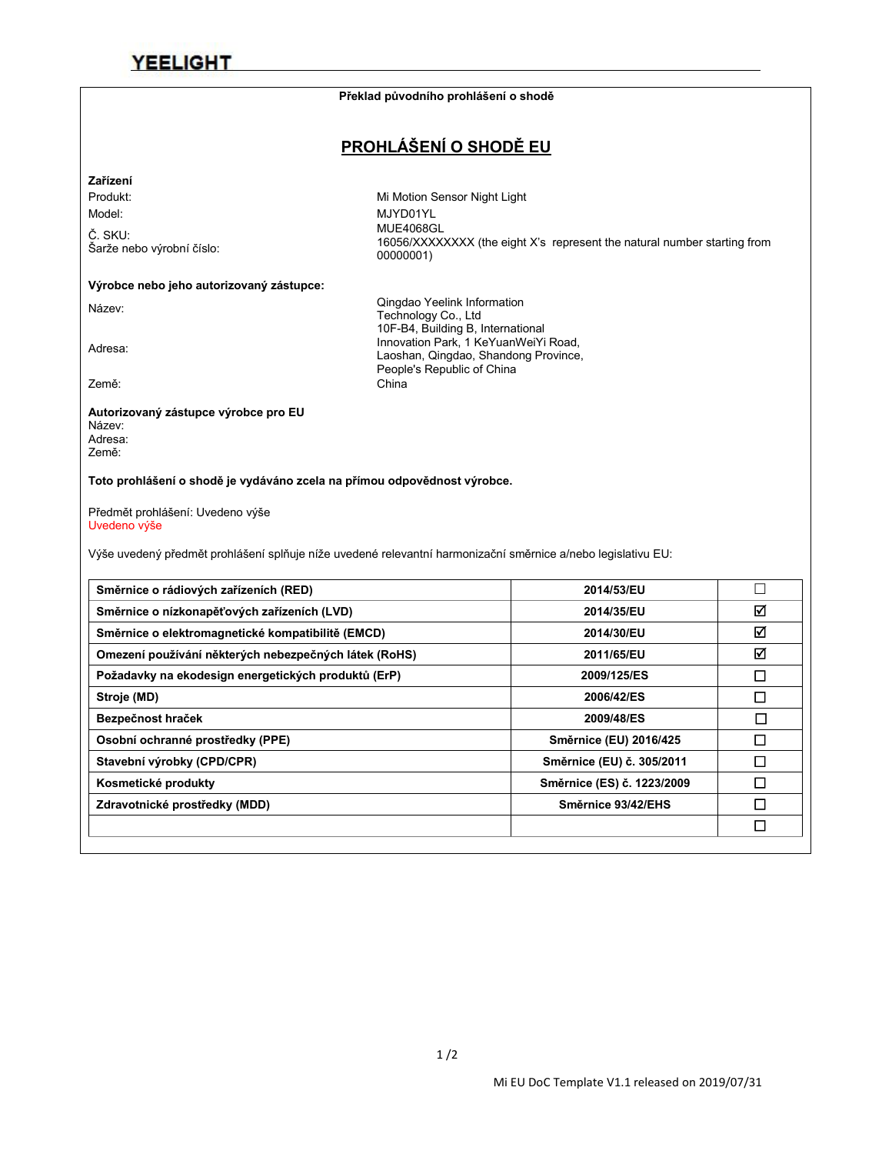#### **Překlad původního prohlášení o shodě**

### **PROHLÁŠENÍ O SHODĚ EU**

Laoshan, Qingdao, Shandong Province,

People's Republic of China

#### **Zařízení**

Č. SKU:<br>Šarže nebo výrobní číslo:

Produkt: Mi Motion Sensor Night Light Model: MJYD01YL Šarže nebo výrobní číslo: MUE4068GL 16056/XXXXXXXX (the eight X's represent the natural number starting from 00000001)

### **Výrobce nebo jeho autorizovaný zástupce:**

Název: Qingdao Yeelink Information Technology Co., Ltd

10F-B4, Building B, International<br>Innovation Park, 1 KeYuanWeiYi Road,<br>Looshan, Oingdoo, Shandong Province

Země: China

#### **Autorizovaný zástupce výrobce pro EU** Název: Adresa:

Země:

**Toto prohlášení o shodě je vydáváno zcela na přímou odpovědnost výrobce.**

Předmět prohlášení: Uvedeno výše Uvedeno výše

Výše uvedený předmět prohlášení splňuje níže uvedené relevantní harmonizační směrnice a/nebo legislativu EU:

| Směrnice o rádiových zařízeních (RED)                 | 2014/53/EU                 |        |
|-------------------------------------------------------|----------------------------|--------|
| Směrnice o nízkonapěťových zařízeních (LVD)           | 2014/35/EU                 | ☑      |
| Směrnice o elektromagnetické kompatibilitě (EMCD)     | 2014/30/EU                 | ☑      |
| Omezení používání některých nebezpečných látek (RoHS) | 2011/65/EU                 | ☑      |
| Požadavky na ekodesign energetických produktů (ErP)   | 2009/125/ES                | □      |
| Stroje (MD)                                           | 2006/42/ES                 | $\Box$ |
| Bezpečnost hraček                                     | 2009/48/ES                 | П      |
| Osobní ochranné prostředky (PPE)                      | Směrnice (EU) 2016/425     | $\Box$ |
| Stavební výrobky (CPD/CPR)                            | Směrnice (EU) č. 305/2011  | П      |
| Kosmetické produkty                                   | Směrnice (ES) č. 1223/2009 | П      |
| Zdravotnické prostředky (MDD)                         | Směrnice 93/42/EHS         | $\Box$ |
|                                                       |                            | $\Box$ |
|                                                       |                            |        |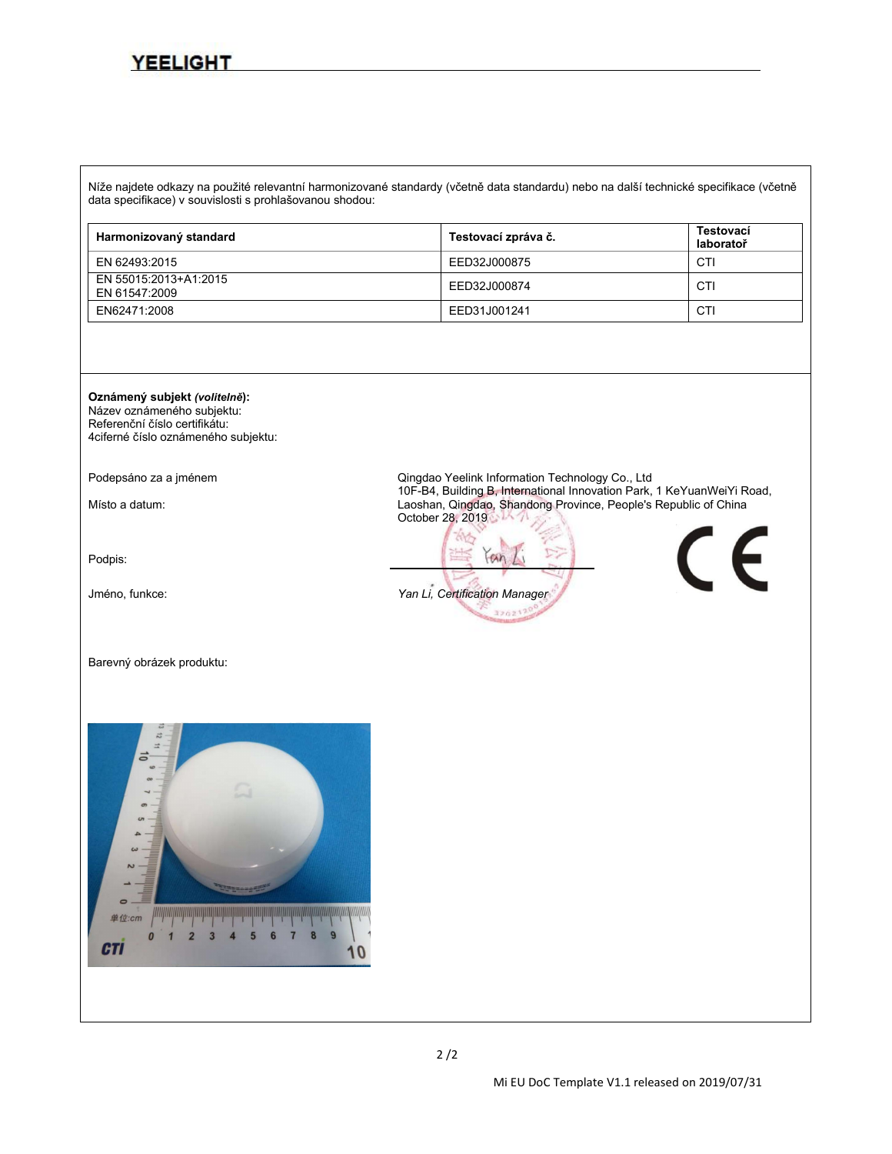Níže najdete odkazy na použité relevantní harmonizované standardy (včetně data standardu) nebo na další technické specifikace (včetně data specifikace) v souvislosti s prohlašovanou shodou:

| Harmonizovaný standard                 | Testovací zpráva č. | Testovací<br>laboratoř |
|----------------------------------------|---------------------|------------------------|
| EN 62493:2015                          | EED32J000875        | CTI                    |
| EN 55015:2013+A1:2015<br>EN 61547:2009 | EED32J000874        | CTI                    |
| EN62471:2008                           | EED31J001241        | CTI                    |

#### **Oznámený subjekt** *(volitelně***):**

Název oznámeného subjektu: Referenční číslo certifikátu: 4ciferné číslo oznámeného subjektu:

Podpis:

#### Barevný obrázek produktu:

单位 п **CTI** 

Podepsáno za a jménem entitivo de controlle de Cingdao Yeelink Information Technology Co., Ltd<br>10F-B4, Building B, International Innovation Park, 1 KeYuanWeiYi Road, Místo a datum: 10F-B4, Building B, International Innovation Park, 1 Australian Park, 1 Australian Province, People's Republic of China October 28, 2019

 $an$ Jméno, funkce: *Yan Li, Certification Manager*326217

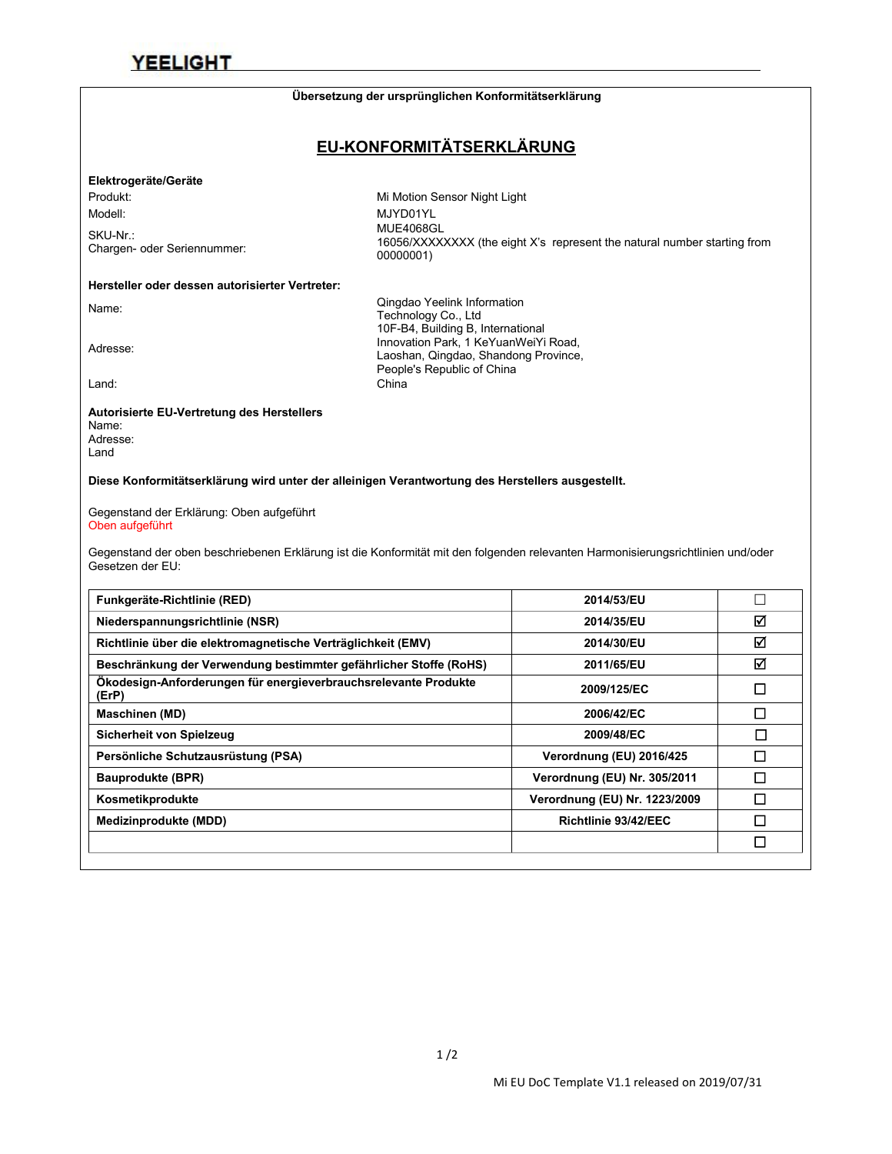#### **Übersetzung der ursprünglichen Konformitätserklärung**

### **EU-KONFORMITÄTSERKLÄRUNG**

#### **Elektrogeräte/Geräte**

SKU-Nr.:<br>Chargen- oder Seriennummer:

Produkt: Mi Motion Sensor Night Light Modell: MJYD01YL Chargen- oder Seriennummer: MUE4068GL 16056/XXXXXXXX (the eight X's represent the natural number starting from 00000001)

### **Hersteller oder dessen autorisierter Vertreter:**

Name: Name: Cingdao Yeelink Information<br>Technology Co., Ltd<br>10F-B4, Building B, International<br>10F-B4, Building B, International 10F-B4, Building B, International<br>Innovation Park, 1 KeYuanWeiYi Road,<br>Looshan, Oingdoo, Shandong Province Laoshan, Qingdao, Shandong Province, People's Republic of China Land: China

#### **Autorisierte EU-Vertretung des Herstellers**

Name: Adresse: Land

**Diese Konformitätserklärung wird unter der alleinigen Verantwortung des Herstellers ausgestellt.**

Gegenstand der Erklärung: Oben aufgeführt Oben aufgeführt

Gegenstand der oben beschriebenen Erklärung ist die Konformität mit den folgenden relevanten Harmonisierungsrichtlinien und/oder<br>Gesetzen der EU:

| Funkgeräte-Richtlinie (RED)                                              | 2014/53/EU                    |        |
|--------------------------------------------------------------------------|-------------------------------|--------|
| Niederspannungsrichtlinie (NSR)                                          | 2014/35/EU                    | ☑      |
| Richtlinie über die elektromagnetische Verträglichkeit (EMV)             | 2014/30/EU                    | ☑      |
| Beschränkung der Verwendung bestimmter gefährlicher Stoffe (RoHS)        | 2011/65/EU                    | ☑      |
| Ökodesign-Anforderungen für energieverbrauchsrelevante Produkte<br>(ErP) | 2009/125/EC                   | $\Box$ |
| <b>Maschinen (MD)</b>                                                    | 2006/42/EC                    | ◻      |
| Sicherheit von Spielzeug                                                 | 2009/48/EC                    | $\Box$ |
| Persönliche Schutzausrüstung (PSA)                                       | Verordnung (EU) 2016/425      | П      |
| <b>Bauprodukte (BPR)</b>                                                 | Verordnung (EU) Nr. 305/2011  | □      |
| Kosmetikprodukte                                                         | Verordnung (EU) Nr. 1223/2009 | □      |
| Medizinprodukte (MDD)                                                    | Richtlinie 93/42/EEC          | □      |
|                                                                          |                               | $\Box$ |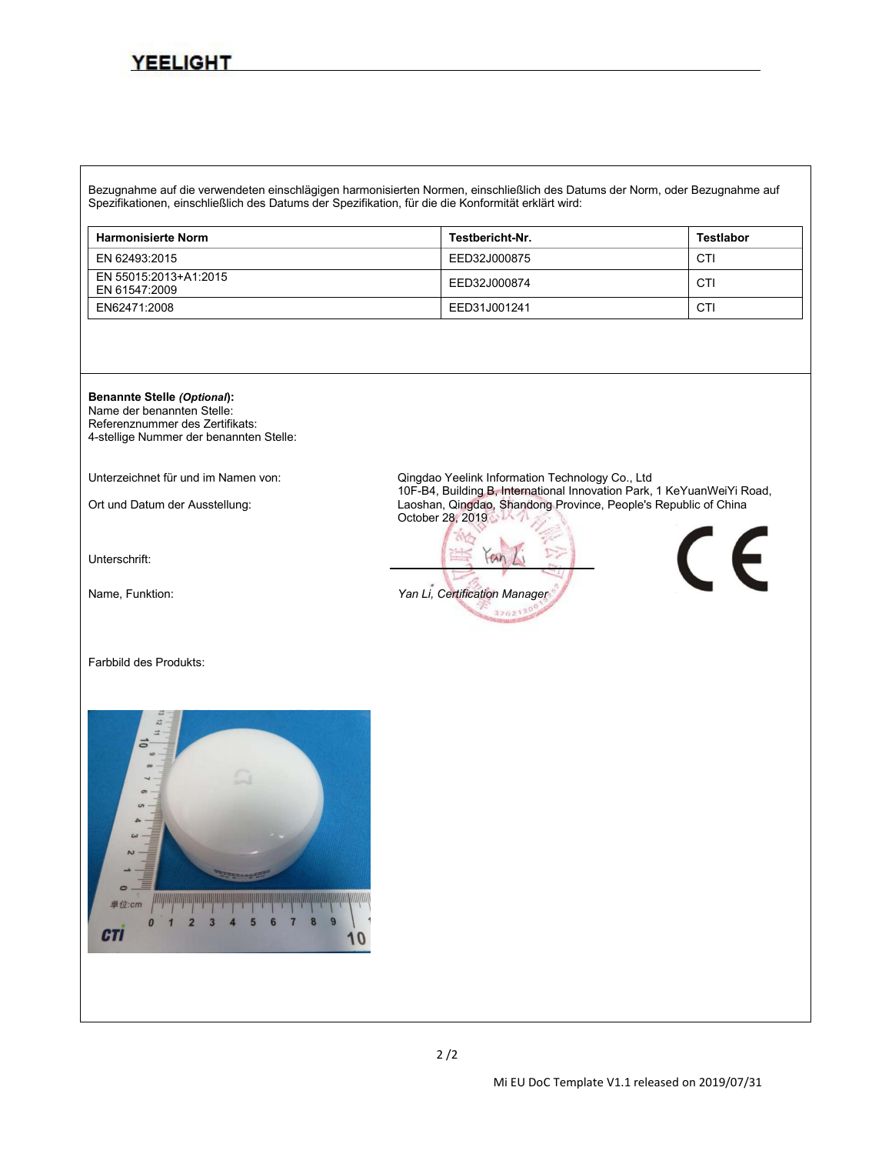Bezugnahme auf die verwendeten einschlägigen harmonisierten Normen, einschließlich des Datums der Norm, oder Bezugnahme auf Spezifikationen, einschließlich des Datums der Spezifikation, für die die Konformität erklärt wird:

| <b>Harmonisierte Norm</b>              | Testbericht-Nr. | <b>Testlabor</b> |
|----------------------------------------|-----------------|------------------|
| EN 62493:2015                          | EED32J000875    | CTI              |
| EN 55015:2013+A1:2015<br>EN 61547:2009 | EED32J000874    | CTI              |
| EN62471:2008                           | EED31J001241    | CTI              |

October 28, 2019

 $an$ 

320217



Name der benannten Stelle: Referenznummer des Zertifikats: 4-stellige Nummer der benannten Stelle:

Unterzeichnet für und im Namen von: Qingdao Yeelink Information Technology Co., Ltd

Ort und Datum der Ausstellung: 10F-B4, Building B, Innovation B, Innovation Park, 1 Australian Province, People's Republic of China

Unterschrift:

Name, Funktion: *Yan Li, Certification Manager*

Farbbild des Produkts:



 $\epsilon$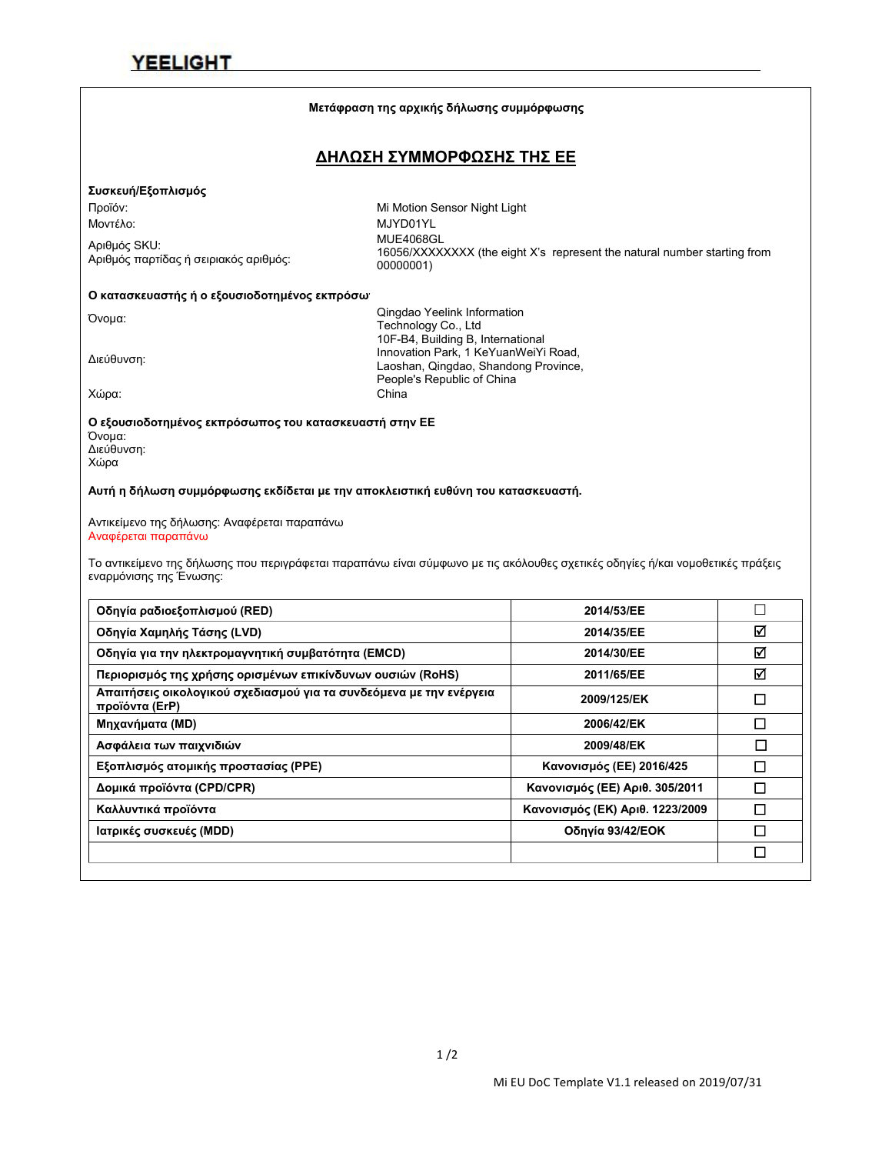### **Μετάφραση της αρχικής δήλωσης συμμόρφωσης ΔΗΛΩΣΗ ΣΥΜΜΟΡΦΩΣΗΣ ΤΗΣ ΕΕ Συσκευή/Εξοπλισμός** Προϊόν: Mi Motion Sensor Night Light Μοντέλο: MJYD01YL Αριθμός SKU: Αριθμός παρτίδας ή σειριακός αριθμός: 16056/XXXXXXXX (the eight X's represent the natural number starting from 00000001) **Ο κατασκευαστής ή ο εξουσιοδοτημένος εκπρόσω** Όνομα: Qingdao Yeelink Information Technology Co., Ltd Διεύθυνση: 10F-B4, Building B, International Innovation Park, 1 KeYuanWeiYi Road, Laoshan, Qingdao, Shandong Province, People's Republic of China Χώρα: China **Ο εξουσιοδοτημένος εκπρόσωπος του κατασκευαστή στην ΕΕ** Όνομα: Διεύθυνση: Χώρα **Αυτή η δήλωση συμμόρφωσης εκδίδεται με την αποκλειστική ευθύνη του κατασκευαστή.** Αντικείμενο της δήλωσης: Αναφέρεται παραπάνω Αναφέρεται παραπάνω Το αντικείμενο της δήλωσης που περιγράφεται παραπάνω είναι σύμφωνο με τις ακόλουθες σχετικές οδηγίες ή/και νομοθετικές πράξεις εναρμόνισης της Ένωσης: **Οδηγία ραδιοεξοπλισμού (RED) 2014/53/ΕΕ Οδηγία Χαμηλής Τάσης (LVD) 2014/35/ΕΕ Οδηγία για την ηλεκτρομαγνητική συμβατότητα (EMCD) 2014/30/ΕΕ Περιορισμός της χρήσης ορισμένων επικίνδυνων ουσιών (RoHS) 2011/65/ΕΕ Απαιτήσεις οικολογικού σχεδιασμού για τα συνδεόμενα με την ενέργεια προϊόντα (ErP) 2009/125/EΚ Μηχανήματα (MD) 2006/42/EΚ Ασφάλεια των παιχνιδιών 2009/48/EΚ Εξοπλισμός ατομικής προστασίας (PPE) Κανονισμός (ΕΕ) 2016/425 Δομικά προϊόντα (CPD/CPR)Κανονισμός (ΕΕ) Αριθ. 305/2011 Καλλυντικά προϊόντα Κανονισμός (ΕΚ) Αριθ. 1223/2009 Ιατρικές συσκευές (MDD) Οδηγία 93/42/ΕΟΚ**

 $\Box$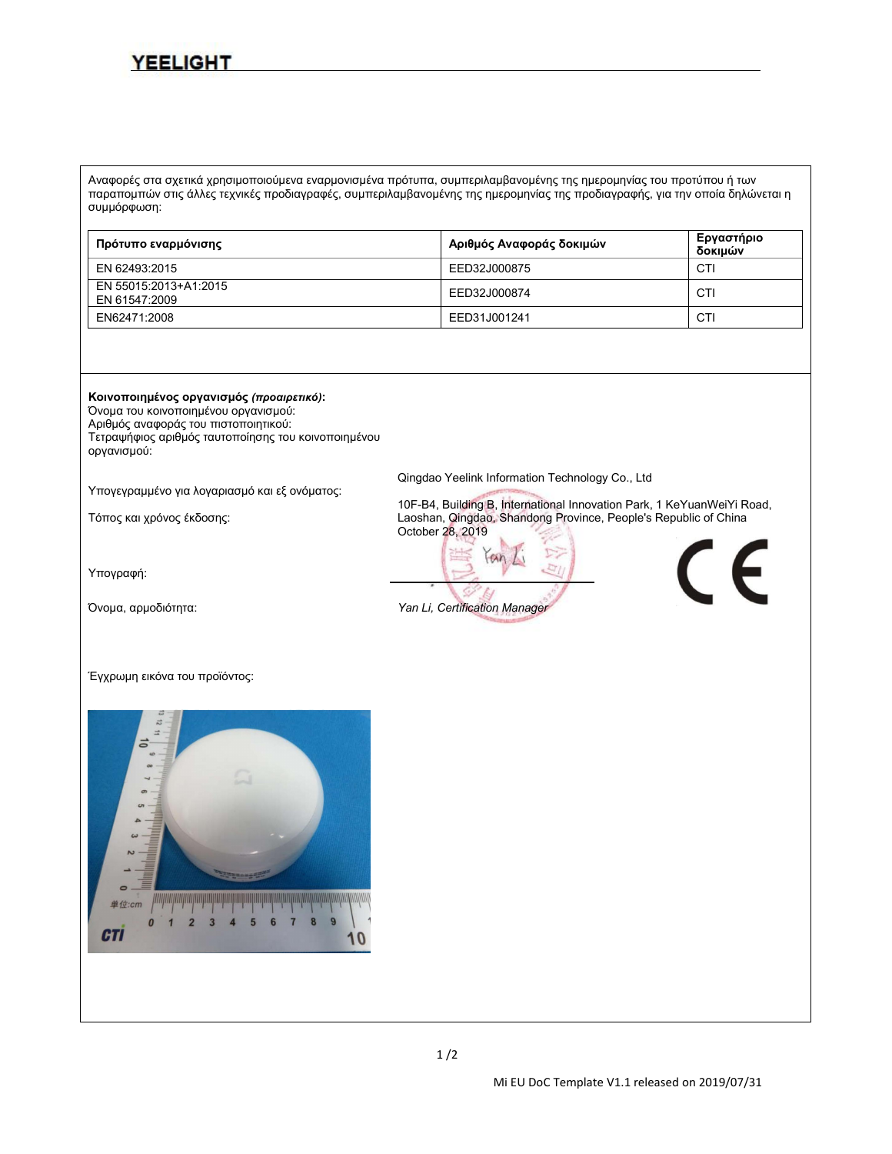Αναφορές στα σχετικά χρησιμοποιούμενα εναρμονισμένα πρότυπα, συμπεριλαμβανομένης της ημερομηνίας του προτύπου ή των παραπομπών στις άλλες τεχνικές προδιαγραφές, συμπεριλαμβανομένης της ημερομηνίας της προδιαγραφής, για την οποία δηλώνεται η συμμόρφωση:

| Πρότυπο εναρμόνισης                    | Αριθμός Αναφοράς δοκιμών | Εργαστήριο<br>δοκιμών |
|----------------------------------------|--------------------------|-----------------------|
| EN 62493:2015                          | EED32J000875             | CTI                   |
| EN 55015:2013+A1:2015<br>EN 61547:2009 | EED32J000874             | CTI                   |
| EN62471:2008                           | EED31J001241             | CTI                   |

#### **Κοινοποιημένος οργανισμός** *(προαιρετικό)***:**

Όνομα του κοινοποιημένου οργανισμού:

Αριθμός αναφοράς του πιστοποιητικού: Τετραψήφιος αριθμός ταυτοποίησης του κοινοποιημένου οργανισμού:

Υπογεγραμμένο για λογαριασμό και εξ ονόματος: Qingdao Yeelink Information Technology Co., Ltd

Υπογραφή:

Όνομα, αρμοδιότητα: *Yan Li, Certification Manager*

Τόπος και χρόνος έκδοσης: 10F-B4, Building B, International Innovation Park, <sup>1</sup> KeYuanWeiYiRoad, Laoshan, Qingdao, Shandong Province, People's Republic of China October 28, 2019





Έγχρωμη εικόνα του προϊόντος:

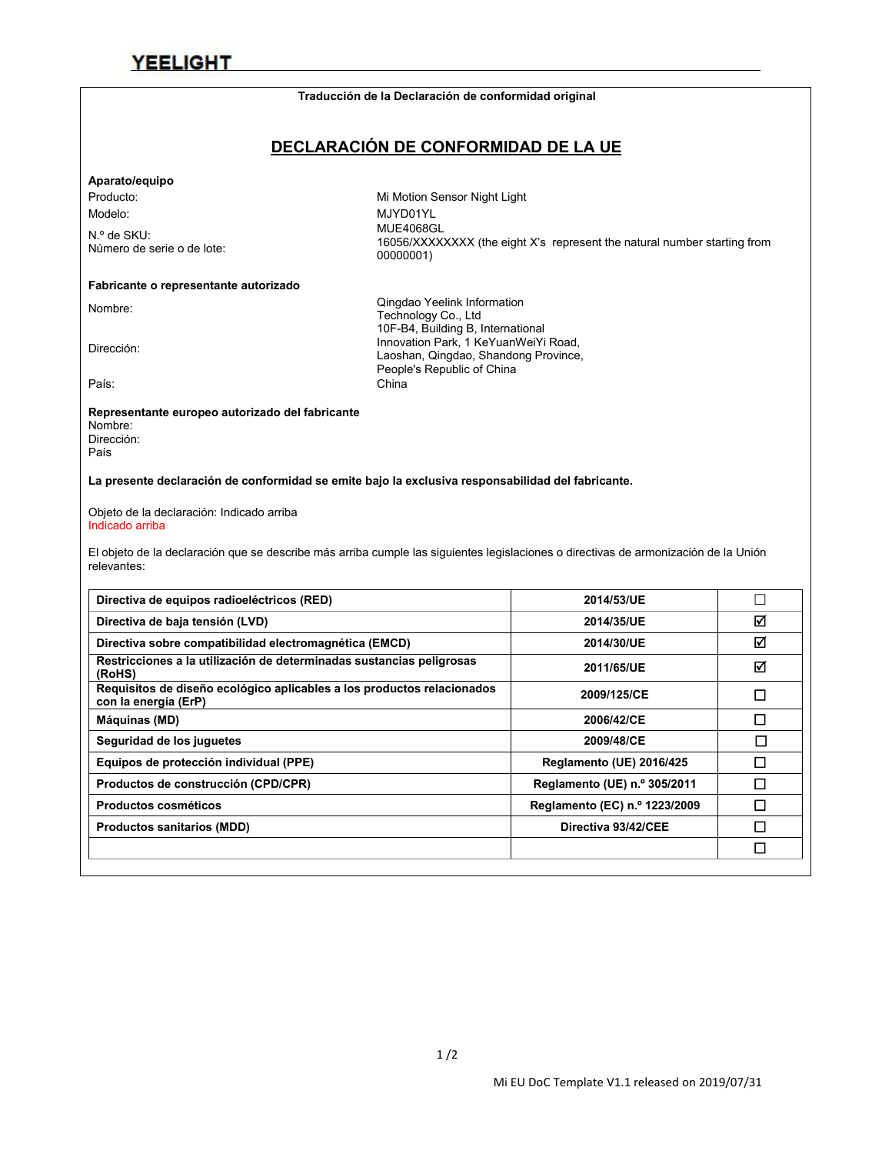#### **Traducción de la Declaración de conformidad original**

### **DECLARACIÓN DE CONFORMIDAD DE LA UE**

#### **Aparato/equipo**

N.º de SKU:<br>Número de serie o de lote:

#### **Fabricante o representante autorizado**

Producto: Mi Motion Sensor Night Light Modelo: MJYD01YL Número de serie <sup>o</sup> de lote: MUE4068GL 16056/XXXXXXXX (the eight X's represent the natural number starting from 00000001)

Nombre: Cingdao Yeelink Information<br>Technology Co., Ltd<br>10F-B4, Building B, International<br>10F-B4, Building B, International 10F-B4, Building B, International<br>Innovation Park, 1 KeYuanWeiYi Road,<br>Looshan Qingdoo, Shandong Province Laoshan, Qingdao, Shandong Province, People's Republic of China País: China

#### **Representante europeo autorizado del fabricante**

Nombre: Dirección: País

**La presente declaración de conformidad se emite bajo laexclusiva responsabilidad del fabricante.**

Objeto de la declaración: Indicado arriba Indicado arriba

El objeto de la declaración que se describe más arriba cumple las siguientes legislaciones o directivas de armonización de la Unión relevantes:

| ☑<br>Directiva de baja tensión (LVD)<br>2014/35/UE<br>☑<br>Directiva sobre compatibilidad electromagnética (EMCD)<br>2014/30/UE<br>Restricciones a la utilización de determinadas sustancias peligrosas<br>☑<br>2011/65/UE<br>(RoHS)<br>Requisitos de diseño ecológico aplicables a los productos relacionados<br>□<br>2009/125/CE<br>con la energía (ErP)<br>П<br>Máquinas (MD)<br>2006/42/CE<br>П<br>Seguridad de los juguetes<br>2009/48/CE<br>П<br>Equipos de protección individual (PPE)<br>Reglamento (UE) 2016/425<br>□<br>Reglamento (UE) n.º 305/2011<br>Productos de construcción (CPD/CPR) |
|-------------------------------------------------------------------------------------------------------------------------------------------------------------------------------------------------------------------------------------------------------------------------------------------------------------------------------------------------------------------------------------------------------------------------------------------------------------------------------------------------------------------------------------------------------------------------------------------------------|
|                                                                                                                                                                                                                                                                                                                                                                                                                                                                                                                                                                                                       |
|                                                                                                                                                                                                                                                                                                                                                                                                                                                                                                                                                                                                       |
|                                                                                                                                                                                                                                                                                                                                                                                                                                                                                                                                                                                                       |
|                                                                                                                                                                                                                                                                                                                                                                                                                                                                                                                                                                                                       |
|                                                                                                                                                                                                                                                                                                                                                                                                                                                                                                                                                                                                       |
|                                                                                                                                                                                                                                                                                                                                                                                                                                                                                                                                                                                                       |
|                                                                                                                                                                                                                                                                                                                                                                                                                                                                                                                                                                                                       |
|                                                                                                                                                                                                                                                                                                                                                                                                                                                                                                                                                                                                       |
| □<br>Reglamento (EC) n.º 1223/2009<br>Productos cosméticos                                                                                                                                                                                                                                                                                                                                                                                                                                                                                                                                            |
| П<br>Directiva 93/42/CEE<br><b>Productos sanitarios (MDD)</b>                                                                                                                                                                                                                                                                                                                                                                                                                                                                                                                                         |
| □                                                                                                                                                                                                                                                                                                                                                                                                                                                                                                                                                                                                     |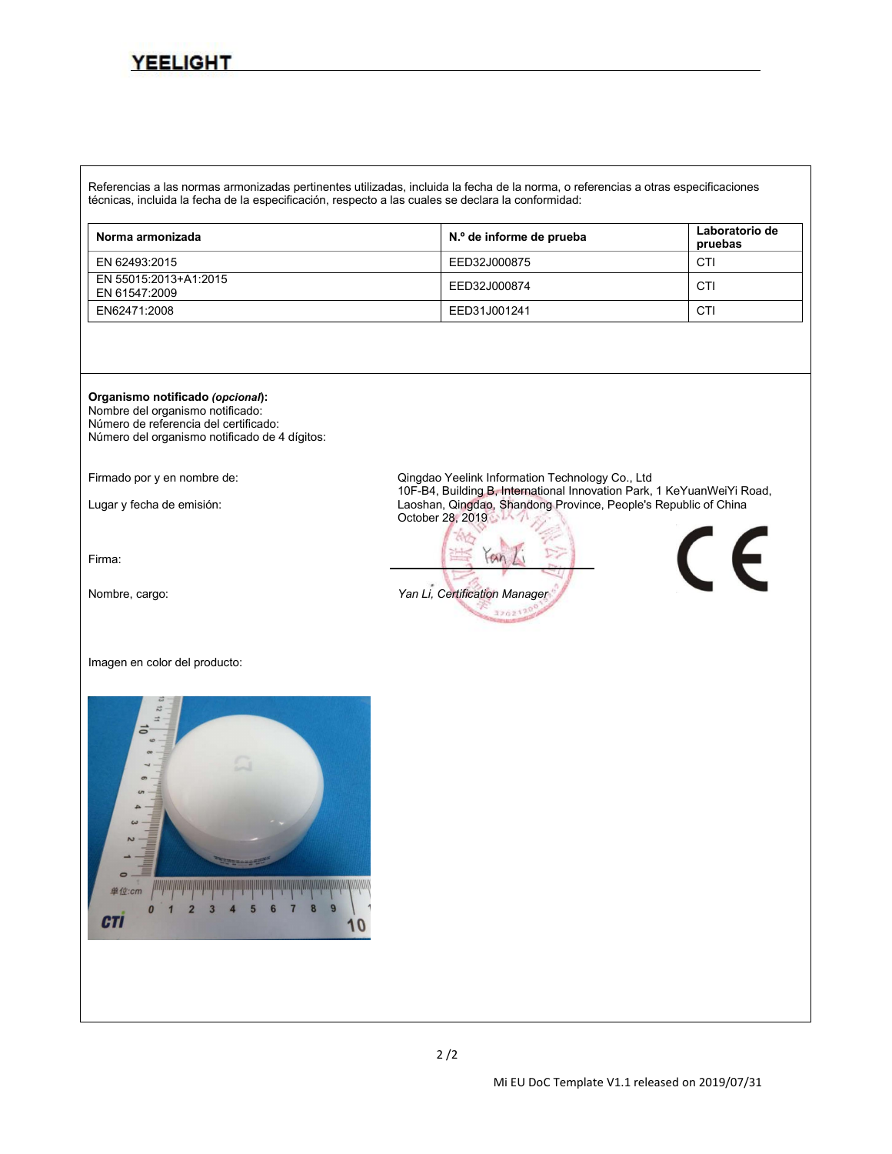Referencias a las normas armonizadas pertinentes utilizadas, incluida la fecha de la norma, o referencias a otras especificaciones técnicas, incluida la fecha de la especificación, respecto a las cuales se declara la conformidad:

| Norma armonizada                       | N.º de informe de prueba | Laboratorio de<br>pruebas |
|----------------------------------------|--------------------------|---------------------------|
| EN 62493:2015                          | EED32J000875             | CTI                       |
| EN 55015:2013+A1:2015<br>EN 61547:2009 | EED32J000874             | CT                        |
| EN62471:2008                           | EED31J001241             | CTI                       |

**Organismo notificado** *(opcional***):**

Nombre del organismo notificado: Número de referencia del certificado: Número del organismo notificado de 4 dígitos:

Firma:

Imagen en color del producto:



Firmado por y en nombre de:<br>Qingdao Yeelink Information Technology Co., Ltd<br>10F-B4, Building B, International Innovation Park, 1 KeYuanWeiYi Road, Lugar y fecha de emisión: 10F-B4, Building B, International Innovation Park, 1 August 2 Keyuan Laoshan, Qingdao, Shandong Province, People's Republic of China October 28, 2019

 $an$ Nombre, cargo: *Yan Li, Certification Manager* 320217

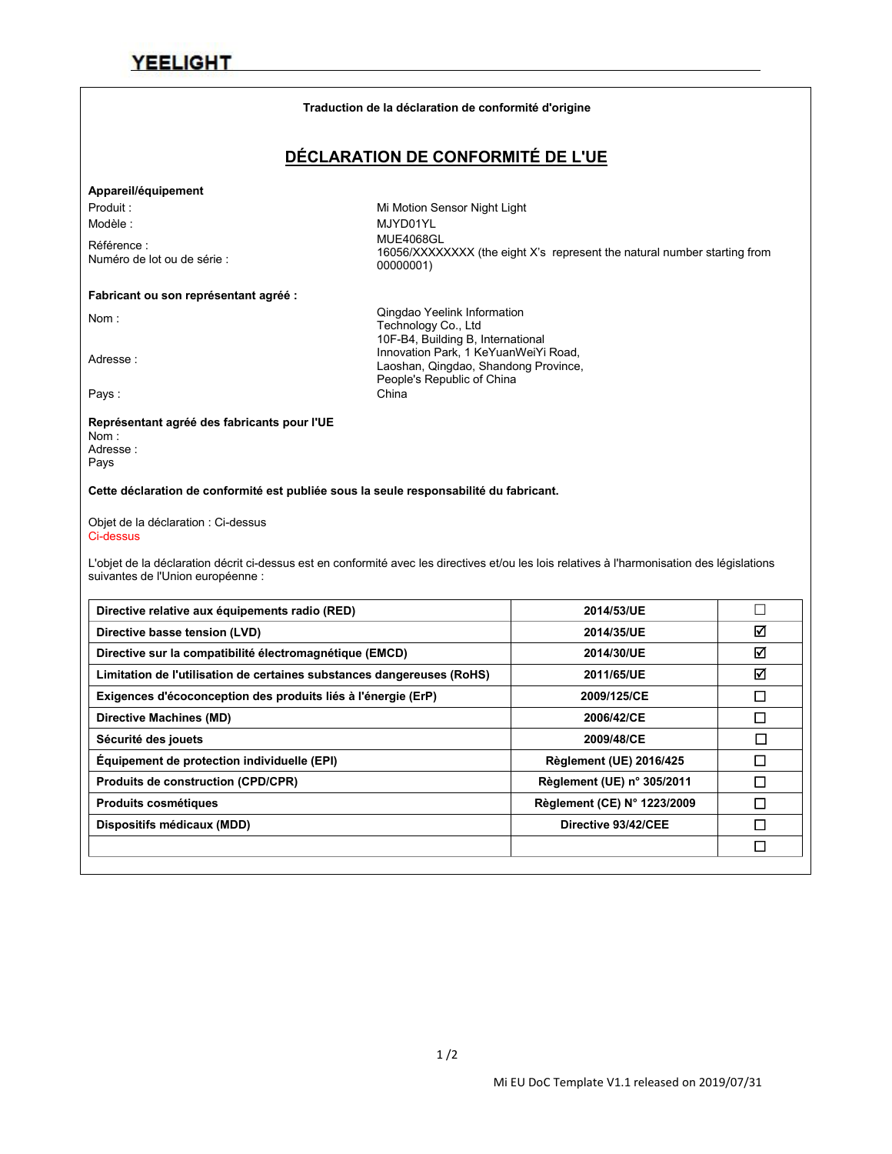#### **Traduction de la déclaration de conformité d'origine**

### **DÉCLARATION DE CONFORMITÉ DE L'UE**

#### **Appareil/équipement**

Référence :<br>Numéro de lot ou de série :

Produit : Night Light Contract Mi Motion Sensor Night Light Modèle : MJYD01YL Numéro de lot ou de série : MUE4068GL 16056/XXXXXXXX (the eight X's represent the natural number starting from 00000001)

#### **Fabricant ou son représentant agréé :**

Nom : Qingdao Yeelink Information Technology Co., Ltd 10F-B4, Building B, International<br>Innovation Park, 1 KeYuanWeiYi Road,<br>Loophan, Oinadoo, Shandoog Province Laoshan, Qingdao, Shandong Province, People's Republic of China Pays : China

#### **Représentant agréé des fabricants pour l'UE**

Nom : Adresse : Pays

#### **Cette déclaration de conformité est publiée sous la seule responsabilité du fabricant.**

Objet de la déclaration : Ci-dessus Ci-dessus

L'objet de la déclaration décrit ci-dessus est en conformité avec les directives et/ou les lois relatives à l'harmonisation des législations suivantes de l'Union européenne :

| 2014/53/UE                     |   |
|--------------------------------|---|
| 2014/35/UE                     | ☑ |
| 2014/30/UE                     | ☑ |
| 2011/65/UE                     | ☑ |
| 2009/125/CE                    | □ |
| 2006/42/CE                     | □ |
| 2009/48/CE                     | □ |
| <b>Règlement (UE) 2016/425</b> |   |
| Règlement (UE) n° 305/2011     | П |
| Règlement (CE) N° 1223/2009    | □ |
| Directive 93/42/CEE            | П |
|                                | □ |
|                                |   |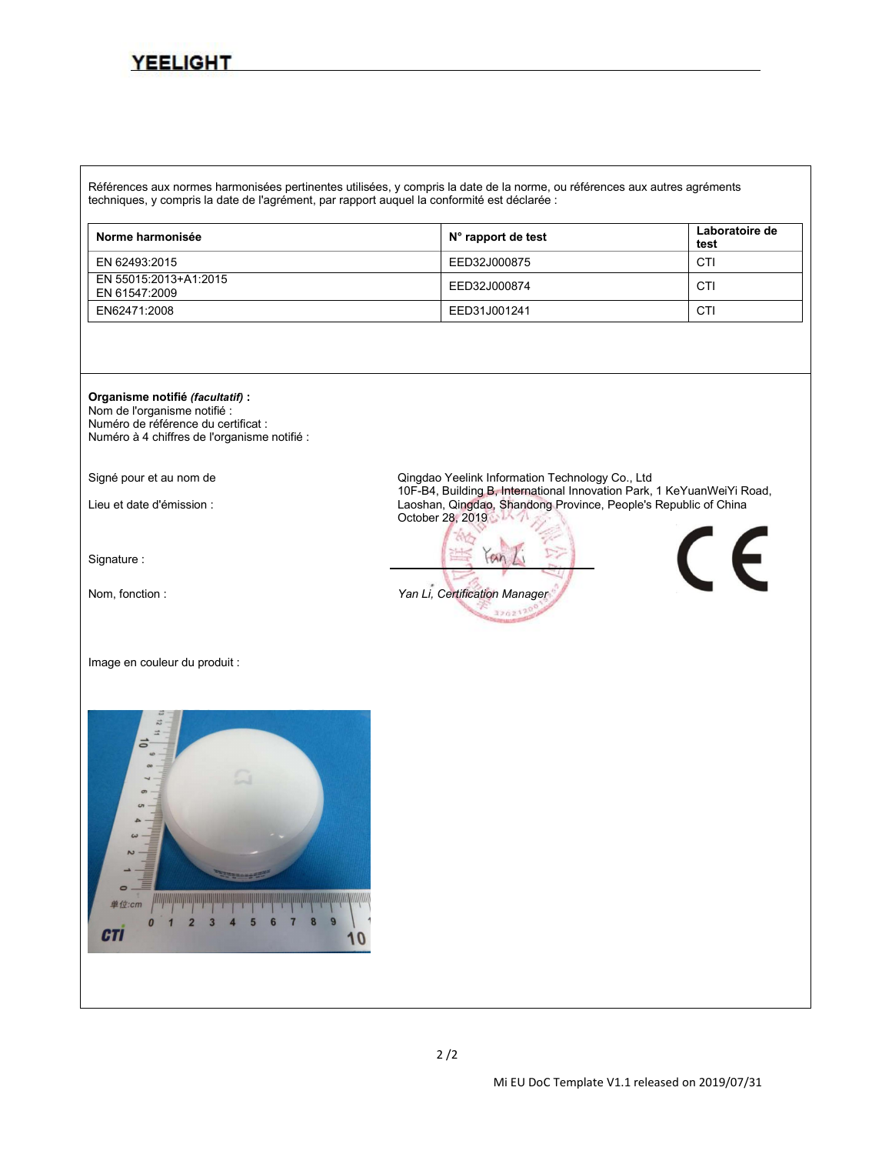Références aux normes harmonisées pertinentes utilisées, y compris la date de la norme, ou références aux autres agréments techniques, y compris la date de l'agrément, par rapport auquel la conformité est déclarée :

| Norme harmonisée                       | $N^{\circ}$ rapport de test | Laboratoire de<br>test |
|----------------------------------------|-----------------------------|------------------------|
| EN 62493:2015                          | EED32J000875                | CT                     |
| EN 55015:2013+A1:2015<br>EN 61547:2009 | EED32J000874                | CTI                    |
| EN62471:2008                           | EED31J001241                | CTI                    |

**Organisme notifié** *(facultatif)***:**

Nom de l'organisme notifié : Numéro de référence du certificat : Numéro à 4 chiffres de l'organisme notifié :

Signature :

Image en couleur du produit :



Signé pour et au nom de **All and Science Congress** Qingdao Yeelink Information Technology Co., Ltd<br>10F-B4, Building B, International Innovation Park, 1 KeYuanWeiYi Road, Lieu et date d'émission : 10F-B4, Building B, International Innovation Park, 1 Australia Innovation Park, 1 Au October 28, 2019

 $an$ Nom, fonction : *Yan Li, Certification Manager* 320217

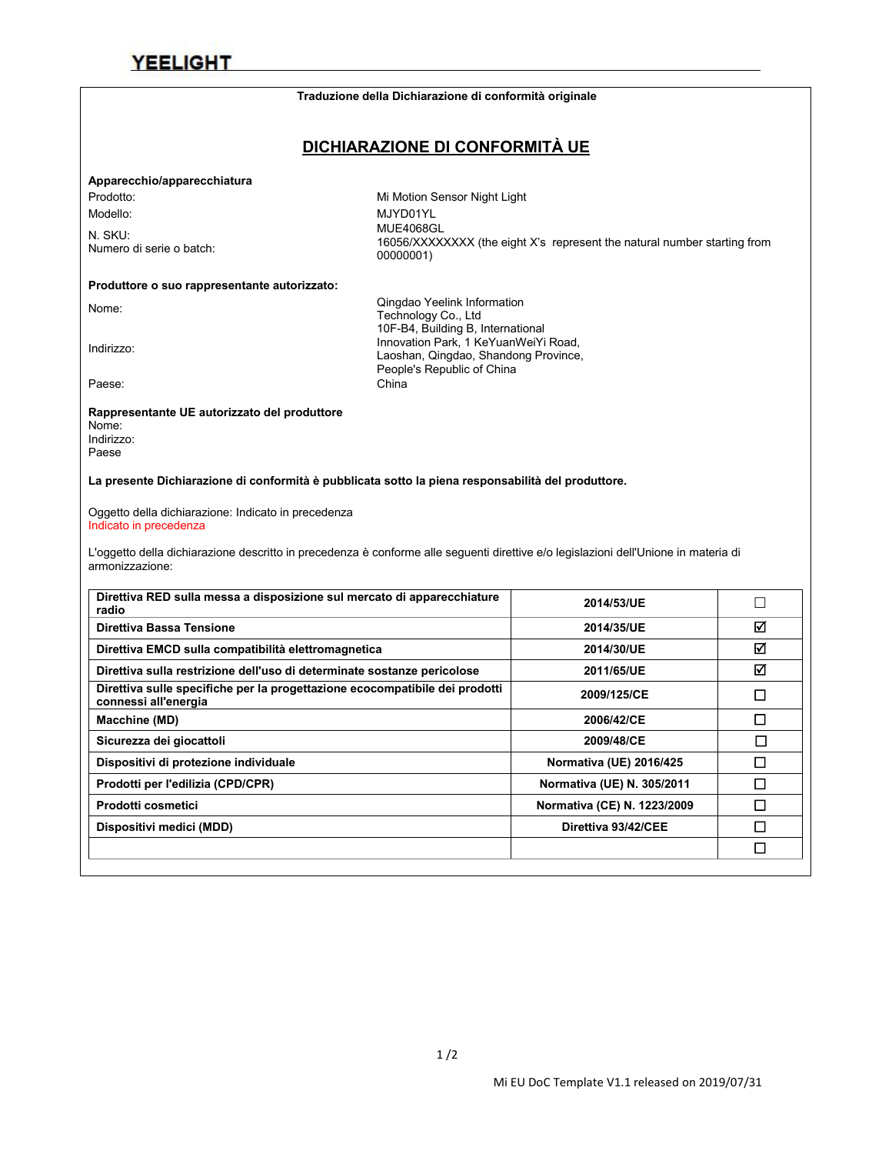#### **Traduzione della Dichiarazione di conformità originale**

### **DICHIARAZIONE DI CONFORMITÀ UE**

#### **Apparecchio/apparecchiatura**

Prodotto: Mi Motion Sensor Night Light

N. SKU:<br>Numero di serie o batch:

Modello: MJYD01YL N. SKU:<br>16056/XXXXXXXX (the eight X's represent the natural number starting from<br>00000001) 00000001)

### **Produttore o suo rappresentante autorizzato:**

Nome: Nome: Cingdao Yeelink Information<br>Technology Co., Ltd<br>10F-B4, Building B, International<br>10F-B4, Building B, International 10F-B4, Building B, International<br>Innovation Park, 1 KeYuanWeiYi Road,<br>I sesban Oingdae Shandopg Province Laoshan, Qingdao, Shandong Province, People's Republic of China Paese: China

#### **Rappresentante UE autorizzato del produttore**

Nome: Indirizzo: Paese

**La presente Dichiarazione di conformità è pubblicata sotto lapiena responsabilità del produttore.**

Oggetto della dichiarazione: Indicato in precedenza Indicato in precedenza

L'oggetto della dichiarazione descritto in precedenza è conforme alle seguenti direttive e/o legislazioni dell'Unione in materia di armonizzazione:

| 2014/53/UE                  |   |
|-----------------------------|---|
| 2014/35/UE                  | ☑ |
| 2014/30/UE                  | ☑ |
| 2011/65/UE                  | ☑ |
| 2009/125/CE                 | □ |
| 2006/42/CE                  | П |
| 2009/48/CE                  |   |
| Normativa (UE) 2016/425     | □ |
| Normativa (UE) N. 305/2011  | □ |
| Normativa (CE) N. 1223/2009 | □ |
| Direttiva 93/42/CEE         | П |
|                             | □ |
|                             |   |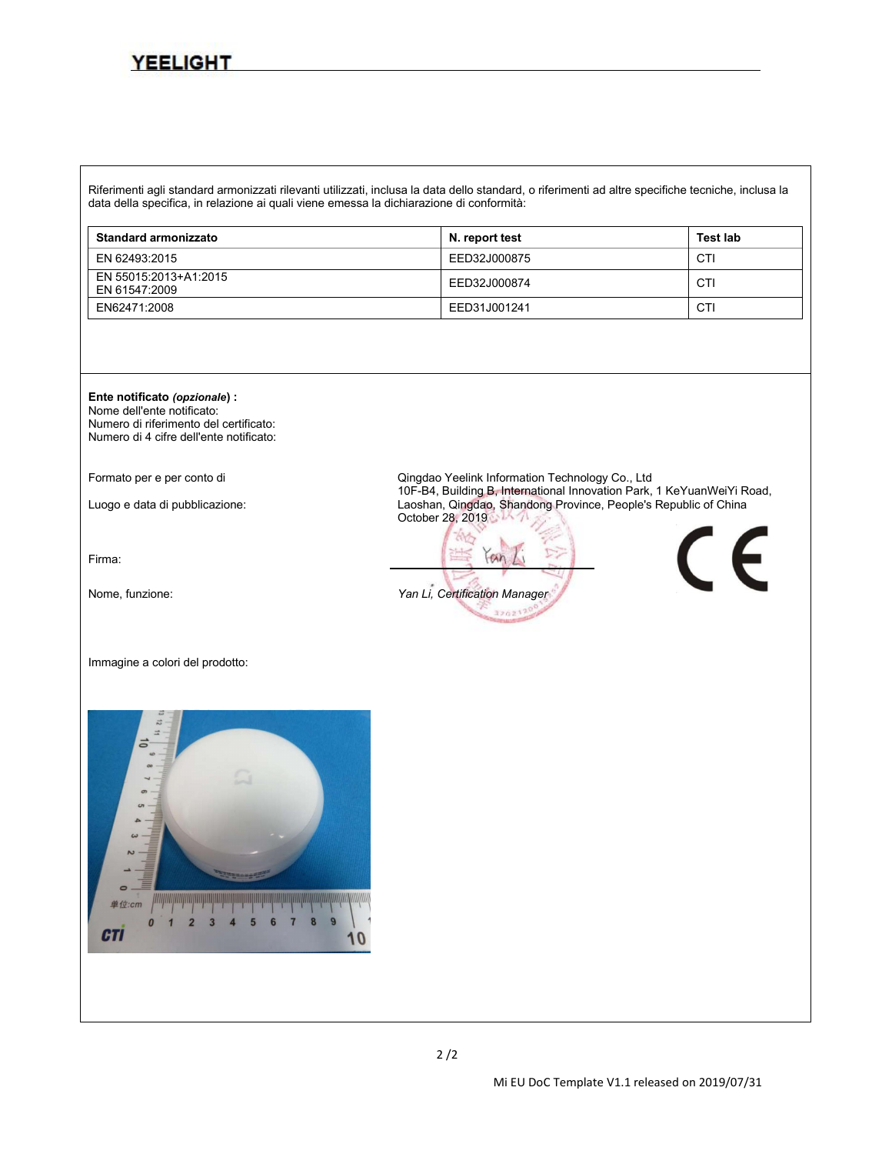Riferimenti agli standard armonizzati rilevanti utilizzati, inclusa la data dello standard, o riferimenti ad altre specifiche tecniche, inclusa la data della specifica, in relazione ai quali viene emessa la dichiarazione di conformità:

| <b>Standard armonizzato</b>            | N. report test | <b>Test lab</b> |
|----------------------------------------|----------------|-----------------|
| EN 62493:2015                          | EED32J000875   | CTI             |
| EN 55015:2013+A1:2015<br>EN 61547:2009 | EED32J000874   | CTI             |
| EN62471:2008                           | EED31J001241   | CTI             |



Nome dell'ente notificato: Numero di riferimento del certificato: Numero di 4 cifre dell'ente notificato:

Firma:

Immagine a colori del prodotto:



Formato per e per conto di enterimente conto di qualitation Qingdao Yeelink Information Technology Co., Ltd<br>10F-B4, Building B, International Innovation Park, 1 KeYuanWeiYi Road, Luogo e data di pubblicazione: 10F-B4, Building B, International Innovation Park, 2 Keyuang Province, People's Republic of China October 28, 2019

 $an$ Nome, funzione: *Yan Li, Certification Manager* 320217

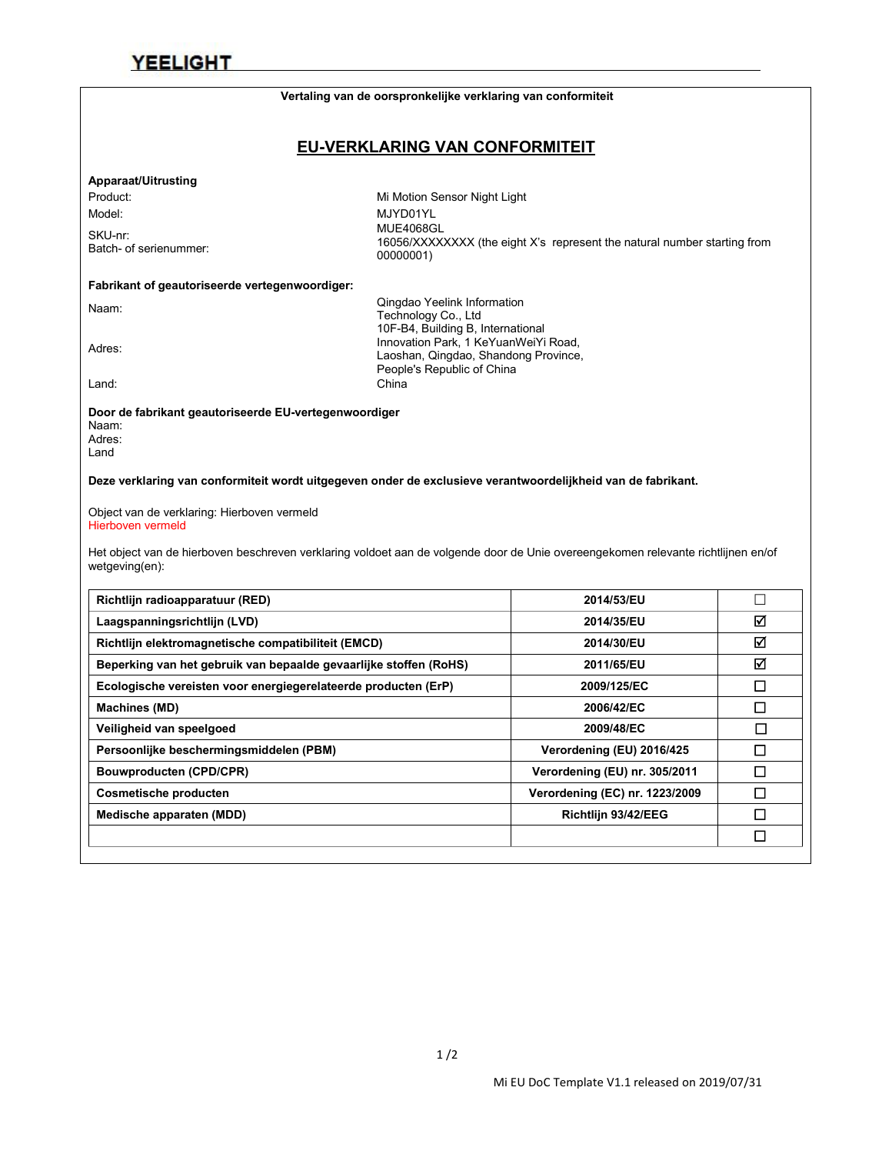### **Vertaling van de oorspronkelijke verklaring van conformiteit**

### **EU-VERKLARING VAN CONFORMITEIT**

### **Apparaat/Uitrusting**

SKU-nr:<br>Batch- of serienummer:

Product: Night Light Contract Mi Motion Sensor Night Light Model: MJYD01YL Batch- ofserienummer: MUE4068GL 16056/XXXXXXXX (the eight X's represent the natural number starting from 00000001)

### **Fabrikant of geautoriseerde vertegenwoordiger:**

Naam: Naam: Naam: Conglao Yeelink Information<br>Technology Co., Ltd<br>10F-B4, Building B, International<br>10F-B4, Building B, International 10F-B4, Building B, International<br>Innovation Park, 1 KeYuanWeiYi Road,<br>Looshan, Oingdoo, Shandong Province Laoshan, Qingdao, Shandong Province, People's Republic of China Land: China

**Door de fabrikant geautoriseerde EU-vertegenwoordiger** Naam: Adres:

Land

**Deze verklaring van conformiteit wordt uitgegeven onder de exclusieve verantwoordelijkheid van de fabrikant.**

Object van de verklaring: Hierboven vermeld Hierboven vermeld

Het object van de hierboven beschreven verklaring voldoet aan de volgende door de Unie overeengekomen relevante richtlijnen en/of wetgeving(en):

| Richtlijn radioapparatuur (RED)                                   | 2014/53/EU                     |        |
|-------------------------------------------------------------------|--------------------------------|--------|
| Laagspanningsrichtlijn (LVD)                                      | 2014/35/EU                     | ☑      |
| Richtlijn elektromagnetische compatibiliteit (EMCD)               | 2014/30/EU                     | ☑      |
| Beperking van het gebruik van bepaalde gevaarlijke stoffen (RoHS) | 2011/65/EU                     | ☑      |
| Ecologische vereisten voor energiegerelateerde producten (ErP)    | 2009/125/EC                    | □      |
| <b>Machines (MD)</b>                                              | 2006/42/EC                     | $\Box$ |
| Veiligheid van speelgoed                                          | 2009/48/EC                     | ◻      |
| Persoonlijke beschermingsmiddelen (PBM)                           | Verordening (EU) 2016/425      | $\Box$ |
| <b>Bouwproducten (CPD/CPR)</b>                                    | Verordening (EU) nr. 305/2011  | П      |
| <b>Cosmetische producten</b>                                      | Verordening (EC) nr. 1223/2009 | □      |
| Medische apparaten (MDD)                                          | Richtlijn 93/42/EEG            | □      |
|                                                                   |                                | □      |
|                                                                   |                                |        |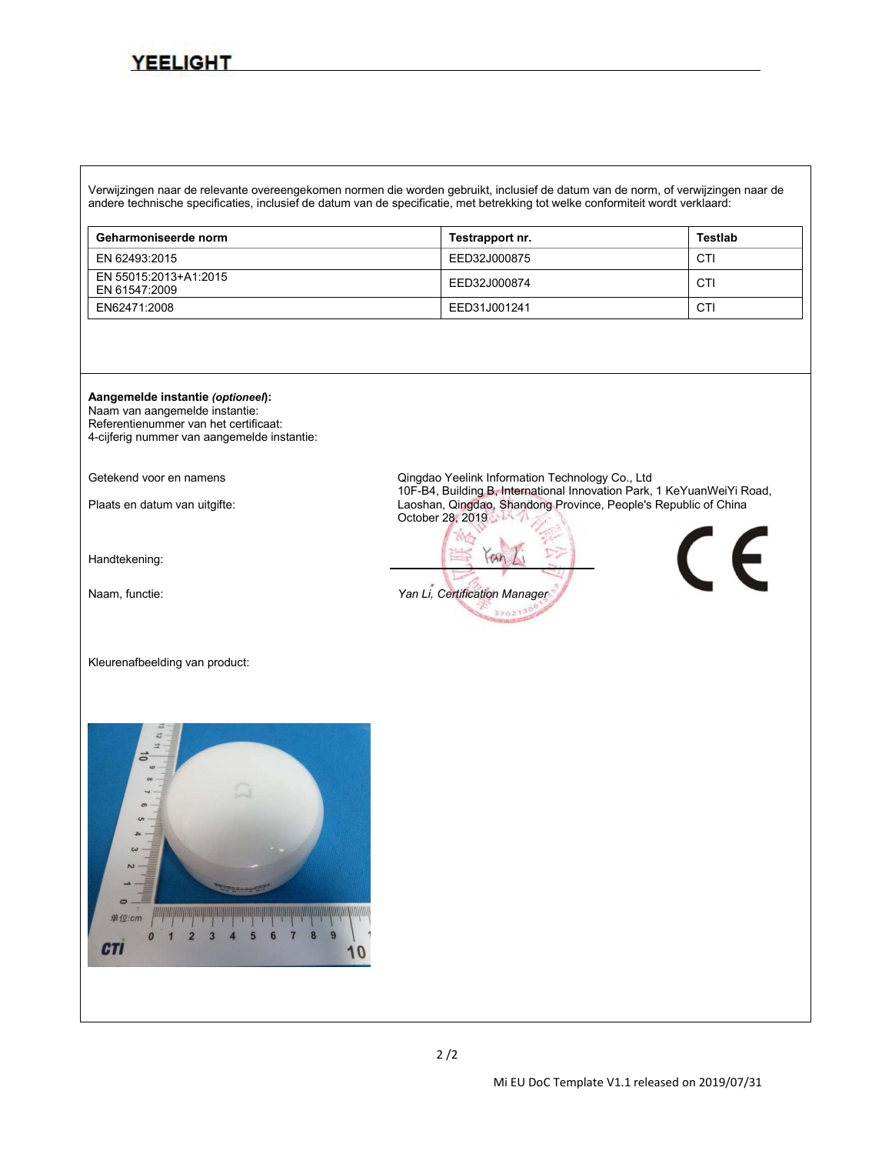Verwijzingen naar de relevante overeengekomen normen die worden gebruikt, inclusief de datum van de norm, ofverwijzingen naar de andere technische specificaties, inclusief de datum van de specificatie, met betrekking tot welke conformiteitwordt verklaard:

| Geharmoniseerde norm                   | Testrapport nr. | Testlab |
|----------------------------------------|-----------------|---------|
| EN 62493:2015                          | EED32J000875    | CTI     |
| EN 55015:2013+A1:2015<br>EN 61547:2009 | EED32J000874    | CTI     |
| EN62471:2008                           | EED31J001241    | CT      |



Naam van aangemelde instantie: Referentienummer van het certificaat: 4-cijferig nummer van aangemelde instantie:

Handtekening:

Kleurenafbeelding van product:



Getekend voor en namens **Getekend voor en namens** Qingdao Yeelink Information Technology Co., Ltd<br>10F-B4, Building B, International Innovation Park, 1 KeYuanWeiYi Road, Plaats en datum van uitgifte: 10F-B4, Building B, International Innovation Park, 1 Keyuang Province, People's Republic of China October 28, 2019

 $an$ Naam, functie: *Yan Li, Certification Manager*320217



 $2/2$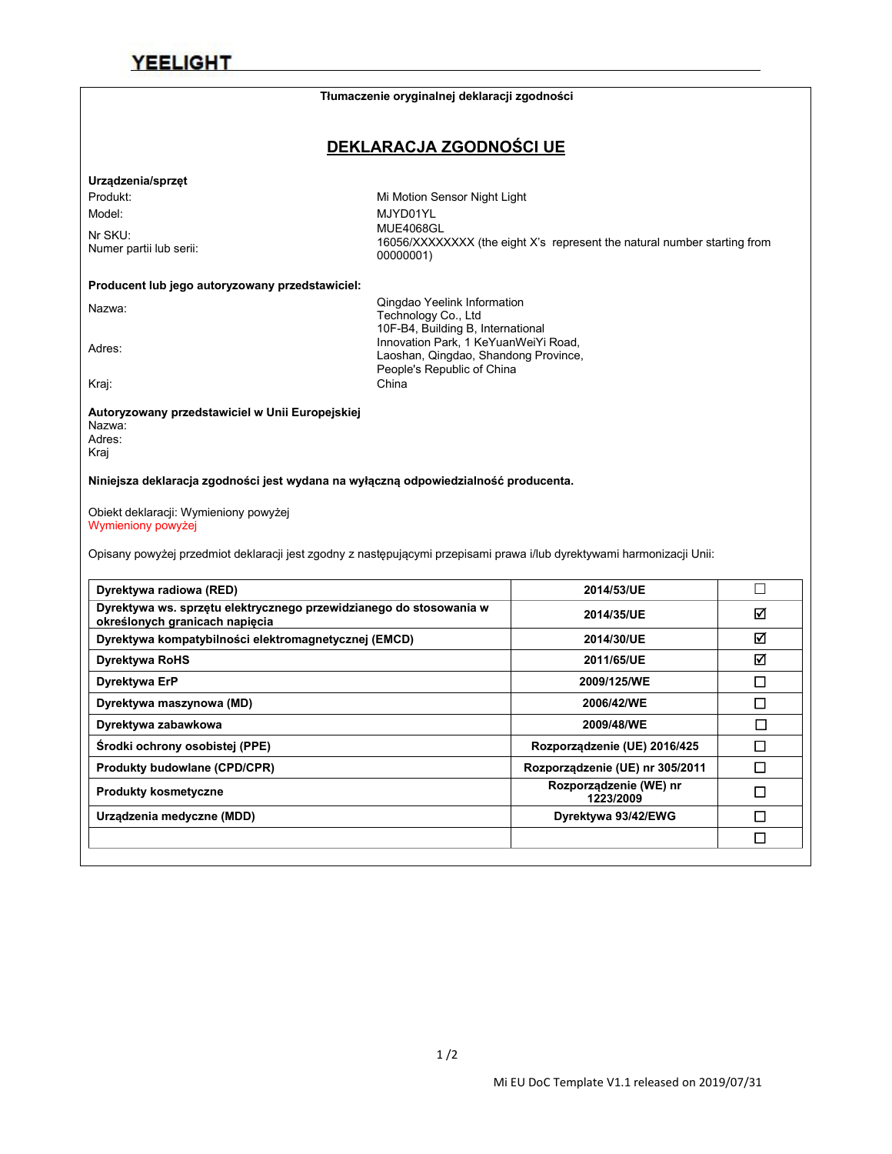|                                                                                                                                                            | Tłumaczenie oryginalnej deklaracji zgodności                       |                                                                          |        |
|------------------------------------------------------------------------------------------------------------------------------------------------------------|--------------------------------------------------------------------|--------------------------------------------------------------------------|--------|
|                                                                                                                                                            | DEKLARACJA ZGODNOŚCI UE                                            |                                                                          |        |
| Urządzenia/sprzęt                                                                                                                                          |                                                                    |                                                                          |        |
| Produkt:                                                                                                                                                   | Mi Motion Sensor Night Light                                       |                                                                          |        |
| Model:                                                                                                                                                     | MJYD01YL                                                           |                                                                          |        |
| Nr SKU:                                                                                                                                                    | <b>MUE4068GL</b>                                                   |                                                                          |        |
| Numer partii lub serii:                                                                                                                                    | 00000001)                                                          | 16056/XXXXXXXX (the eight X's represent the natural number starting from |        |
| Producent lub jego autoryzowany przedstawiciel:                                                                                                            |                                                                    |                                                                          |        |
| Nazwa:                                                                                                                                                     | Qingdao Yeelink Information                                        |                                                                          |        |
|                                                                                                                                                            | Technology Co., Ltd<br>10F-B4, Building B, International           |                                                                          |        |
| Adres:                                                                                                                                                     | Innovation Park, 1 KeYuanWeiYi Road,                               |                                                                          |        |
|                                                                                                                                                            | Laoshan, Qingdao, Shandong Province,<br>People's Republic of China |                                                                          |        |
| Kraj:                                                                                                                                                      | China                                                              |                                                                          |        |
| Nazwa:<br>Adres:                                                                                                                                           |                                                                    |                                                                          |        |
| Kraj<br>Niniejsza deklaracja zgodności jest wydana na wyłączną odpowiedzialność producenta.<br>Obiekt deklaracji: Wymieniony powyżej<br>Wymieniony powyżej |                                                                    |                                                                          |        |
| Opisany powyżej przedmiot deklaracji jest zgodny z następującymi przepisami prawa i/lub dyrektywami harmonizacji Unii:                                     |                                                                    |                                                                          |        |
| Dyrektywa radiowa (RED)                                                                                                                                    |                                                                    | 2014/53/UE                                                               | $\Box$ |
| Dyrektywa ws. sprzętu elektrycznego przewidzianego do stosowania w<br>określonych granicach napięcia                                                       |                                                                    | 2014/35/UE                                                               | ☑      |
| Dyrektywa kompatybilności elektromagnetycznej (EMCD)                                                                                                       |                                                                    | 2014/30/UE                                                               | ☑      |
| <b>Dyrektywa RoHS</b>                                                                                                                                      |                                                                    | 2011/65/UE                                                               | ☑      |
| Dyrektywa ErP                                                                                                                                              |                                                                    | 2009/125/WE                                                              | $\Box$ |
| Dyrektywa maszynowa (MD)                                                                                                                                   |                                                                    | 2006/42/WE                                                               | $\Box$ |
| Dyrektywa zabawkowa                                                                                                                                        |                                                                    | 2009/48/WE                                                               | $\Box$ |
| Środki ochrony osobistej (PPE)                                                                                                                             |                                                                    | Rozporządzenie (UE) 2016/425                                             | $\Box$ |
| Produkty budowlane (CPD/CPR)                                                                                                                               |                                                                    | Rozporządzenie (UE) nr 305/2011                                          | $\Box$ |
| <b>Produkty kosmetyczne</b>                                                                                                                                |                                                                    | Rozporządzenie (WE) nr<br>1223/2009                                      | $\Box$ |
| Urządzenia medyczne (MDD)                                                                                                                                  |                                                                    | Dyrektywa 93/42/EWG                                                      | $\Box$ |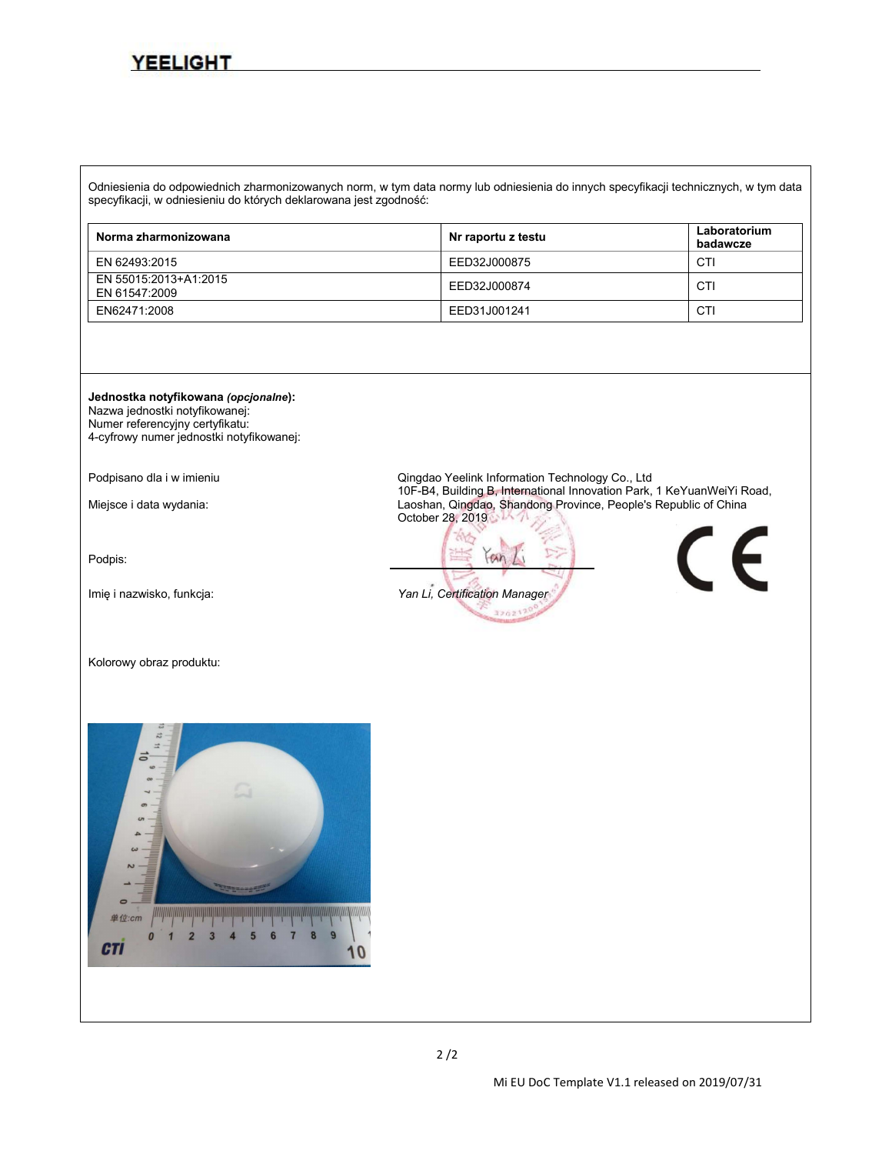Odniesienia do odpowiednich zharmonizowanych norm, w tym data normy lub odniesienia do innych specyfikacji technicznych, w tym data specyfikacji, w odniesieniu do których deklarowana jest zgodność:

| Norma zharmonizowana                   | Nr raportu z testu | Laboratorium<br>badawcze |
|----------------------------------------|--------------------|--------------------------|
| EN 62493:2015                          | EED32J000875       | CT.                      |
| EN 55015:2013+A1:2015<br>EN 61547:2009 | EED32J000874       | <b>CTI</b>               |
| EN62471:2008                           | EED31J001241       | CT                       |

**Jednostka notyfikowana** *(opcjonalne***):** Nazwa jednostki notyfikowanej: Numer referencyjny certyfikatu:

4-cyfrowy numer jednostki notyfikowanej:

Podpis:

Kolorowy obraz produktu:



Podpisano dla i w imieniu **Cingdao Yeelink Information Technology Co., Ltd** Podpisano dla i w imieniu Corean Must<br>10F-B4, Building B, International Innovation Park, 1 KeYuanWeiYi Road, Miejsce i data wydania: 10F-B4, Building B, International Innovation Parker, Innovation Province, People's Republic of China October 28, 2019

 $an$ Imię i nazwisko, funkcja: *Yan Li, Certification Manager*320217

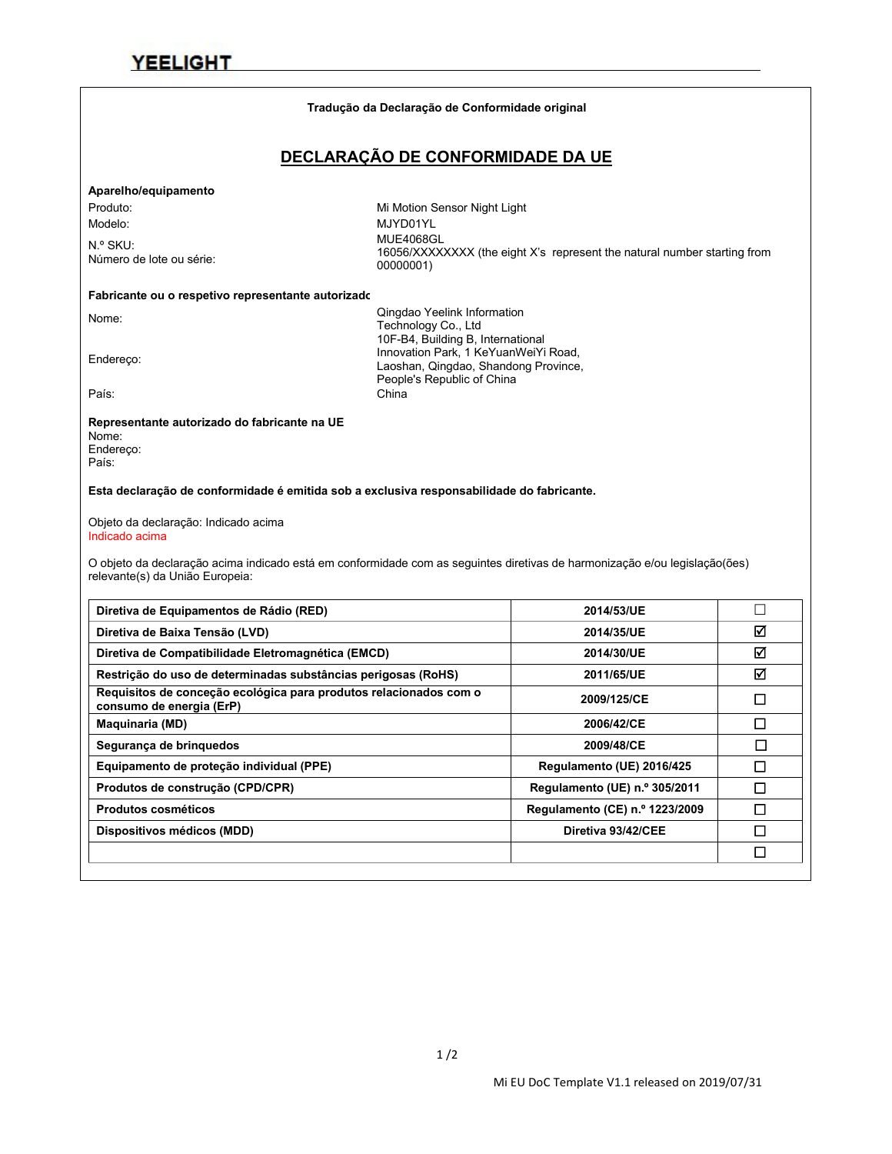#### **Tradução da Declaração de Conformidade original**

### **DECLARAÇÃO DE CONFORMIDADE DA UE**

#### **Aparelho/equipamento**

N.º SKU:<br>Número de lote ou série:

Produto: Mi Motion Sensor Night Light Modelo: MJYD01YL N.º SKU:<br>16056/XXXXXXXX (the eight X's represent the natural number starting from<br>0000001\/ 00000001)

#### **Fabricante ou o respetivo representante autorizado:**

Nome: Qingdao Yeelink Information Technology Co., Ltd 10F-B4, Building B, International<br>Innovation Park, 1 KeYuanWeiYi Road,<br>Loophan Oinadoo, Shandoog Province Laoshan, Qingdao, Shandong Province, People's Republic of China País: China

#### **Representante autorizado do fabricante na UE**

Nome: Endereço: País:

#### **Esta declaração de conformidade é emitida sob a exclusiva responsabilidade do fabricante.**

Objeto da declaração: Indicado acima Indicado acima

O objeto da declaração acima indicado está em conformidade com as seguintes diretivas de harmonização e/ou legislação(ões) relevante(s) da União Europeia:

| Diretiva de Equipamentos de Rádio (RED)                                                       | 2014/53/UE                     |   |
|-----------------------------------------------------------------------------------------------|--------------------------------|---|
| Diretiva de Baixa Tensão (LVD)                                                                | 2014/35/UE                     | ☑ |
| Diretiva de Compatibilidade Eletromagnética (EMCD)                                            | 2014/30/UE                     | ☑ |
| Restrição do uso de determinadas substâncias perigosas (RoHS)                                 | 2011/65/UE                     | ☑ |
| Requisitos de conceção ecológica para produtos relacionados com o<br>consumo de energia (ErP) | 2009/125/CE                    | П |
| <b>Maguinaria (MD)</b>                                                                        | 2006/42/CE                     | П |
| Segurança de bringuedos                                                                       | 2009/48/CE                     | П |
| Equipamento de proteção individual (PPE)                                                      | Regulamento (UE) 2016/425      | □ |
| Produtos de construção (CPD/CPR)                                                              | Regulamento (UE) n.º 305/2011  | П |
| <b>Produtos cosméticos</b>                                                                    | Regulamento (CE) n.º 1223/2009 | □ |
| Dispositivos médicos (MDD)                                                                    | Diretiva 93/42/CEE             | П |
|                                                                                               |                                | □ |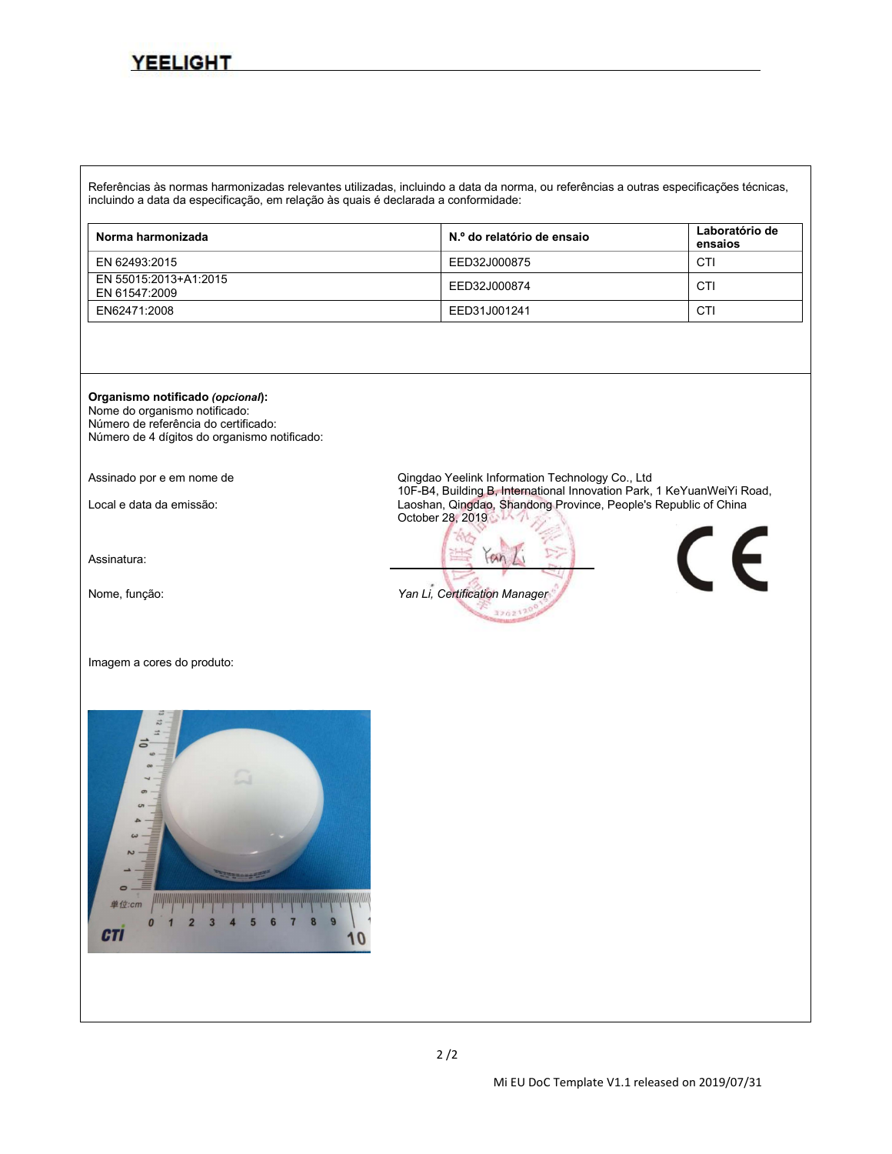Referências às normas harmonizadas relevantes utilizadas, incluindo a data da norma, ou referências a outras especificações técnicas, incluindo a data da especificação, em relação às quais é declarada a conformidade:

| Norma harmonizada                      | N.º do relatório de ensaio | Laboratório de<br>ensaios |
|----------------------------------------|----------------------------|---------------------------|
| EN 62493:2015                          | EED32J000875               | CTI                       |
| EN 55015:2013+A1:2015<br>EN 61547:2009 | EED32J000874               | CTI                       |
| EN62471:2008                           | EED31J001241               | CTI                       |

**Organismo notificado** *(opcional***):**

Nome do organismo notificado: Número de referência do certificado: Número de 4 dígitos do organismo notificado:

Assinatura:

Imagem a cores do produto:



Assinado por e em nome de <br>10F-B4, Building B, International Innovation Park, 1 KeYuanWeiYi Road, Local e data da emissão: 10F-B4, Building B, International Innovation Park, 1 Australia Indianal Indianal Indonesia Laoshan, Qingdao, Shandong Province, People's Republic of China October 28, 2019

 $an$ Nome, função: *Yan Li, Certification Manager* 320217



 $2/2$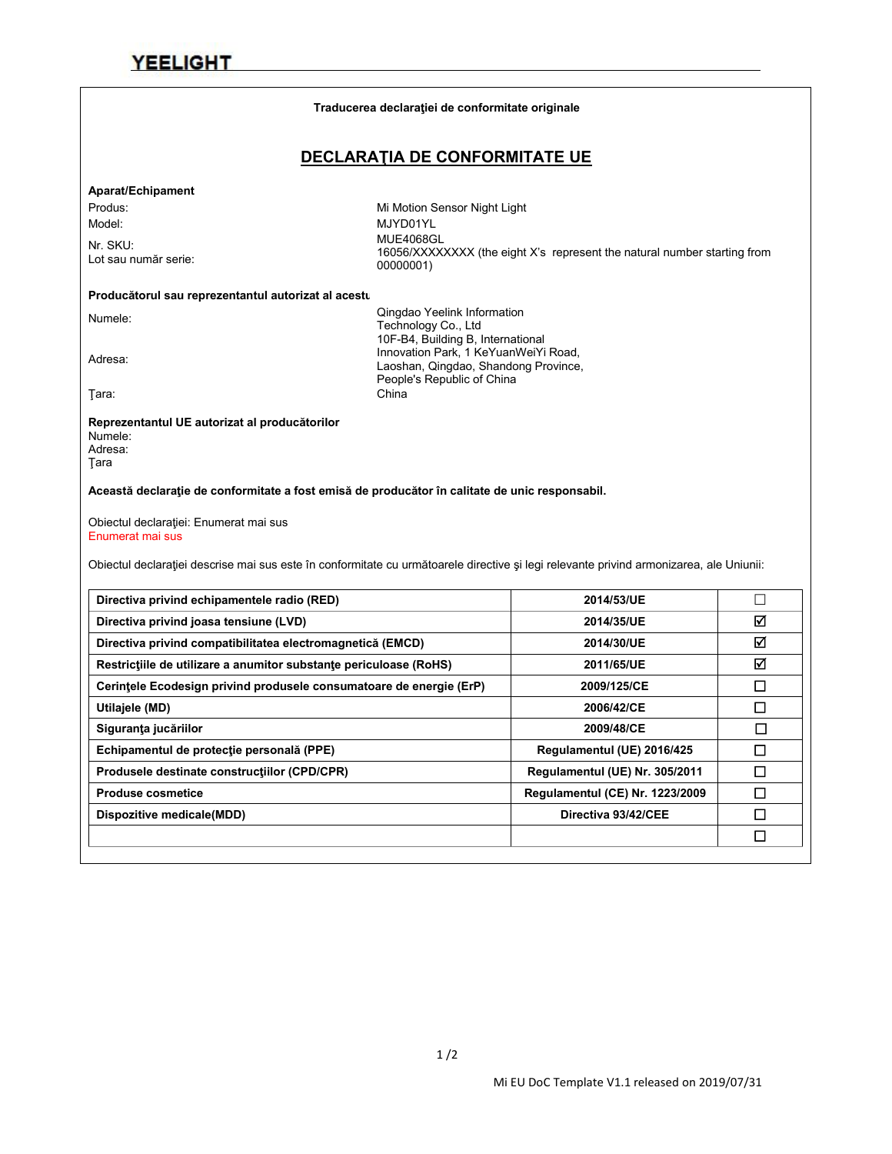|                                                                                                                                                             | Traducerea declarației de conformitate originale                   |                                                                         |             |
|-------------------------------------------------------------------------------------------------------------------------------------------------------------|--------------------------------------------------------------------|-------------------------------------------------------------------------|-------------|
|                                                                                                                                                             | DECLARATIA DE CONFORMITATE UE                                      |                                                                         |             |
| Aparat/Echipament                                                                                                                                           |                                                                    |                                                                         |             |
| Produs:                                                                                                                                                     | Mi Motion Sensor Night Light                                       |                                                                         |             |
| Model:                                                                                                                                                      | MJYD01YL                                                           |                                                                         |             |
| Nr. SKU:                                                                                                                                                    | <b>MUE4068GL</b>                                                   | 16056/XXXXXXX (the eight X's represent the natural number starting from |             |
| Lot sau număr serie:                                                                                                                                        | 00000001)                                                          |                                                                         |             |
| Producătorul sau reprezentantul autorizat al acestu                                                                                                         |                                                                    |                                                                         |             |
| Numele:                                                                                                                                                     | Qingdao Yeelink Information                                        |                                                                         |             |
|                                                                                                                                                             | Technology Co., Ltd<br>10F-B4, Building B, International           |                                                                         |             |
| Adresa:                                                                                                                                                     | Innovation Park, 1 KeYuanWeiYi Road,                               |                                                                         |             |
|                                                                                                                                                             | Laoshan, Qingdao, Shandong Province,<br>People's Republic of China |                                                                         |             |
| Tara:                                                                                                                                                       | China                                                              |                                                                         |             |
| Adresa:<br>Tara                                                                                                                                             |                                                                    |                                                                         |             |
| Această declarație de conformitate a fost emisă de producător în calitate de unic responsabil.<br>Obiectul declarației: Enumerat mai sus                    |                                                                    |                                                                         |             |
| Enumerat mai sus<br>Obiectul declarației descrise mai sus este în conformitate cu următoarele directive și legi relevante privind armonizarea, ale Uniunii: |                                                                    |                                                                         |             |
| Directiva privind echipamentele radio (RED)                                                                                                                 |                                                                    | 2014/53/UE                                                              | $\Box$      |
| Directiva privind joasa tensiune (LVD)                                                                                                                      |                                                                    | 2014/35/UE                                                              | ☑           |
| Directiva privind compatibilitatea electromagnetică (EMCD)                                                                                                  |                                                                    | 2014/30/UE                                                              | $\boxtimes$ |
| Restricțiile de utilizare a anumitor substanțe periculoase (RoHS)                                                                                           |                                                                    | 2011/65/UE                                                              | ☑           |
| Cerințele Ecodesign privind produsele consumatoare de energie (ErP)                                                                                         |                                                                    | 2009/125/CE                                                             | $\Box$      |
| Utilajele (MD)                                                                                                                                              |                                                                    | 2006/42/CE                                                              | $\Box$      |
| Siguranța jucăriilor                                                                                                                                        |                                                                    | 2009/48/CE                                                              | $\Box$      |
| Echipamentul de protecție personală (PPE)                                                                                                                   |                                                                    | Regulamentul (UE) 2016/425                                              | $\Box$      |
| Produsele destinate constructiilor (CPD/CPR)                                                                                                                |                                                                    | Regulamentul (UE) Nr. 305/2011                                          | $\Box$      |
| <b>Produse cosmetice</b>                                                                                                                                    |                                                                    | Regulamentul (CE) Nr. 1223/2009                                         | $\Box$      |
| Dispozitive medicale(MDD)                                                                                                                                   |                                                                    | Directiva 93/42/CEE                                                     | $\Box$      |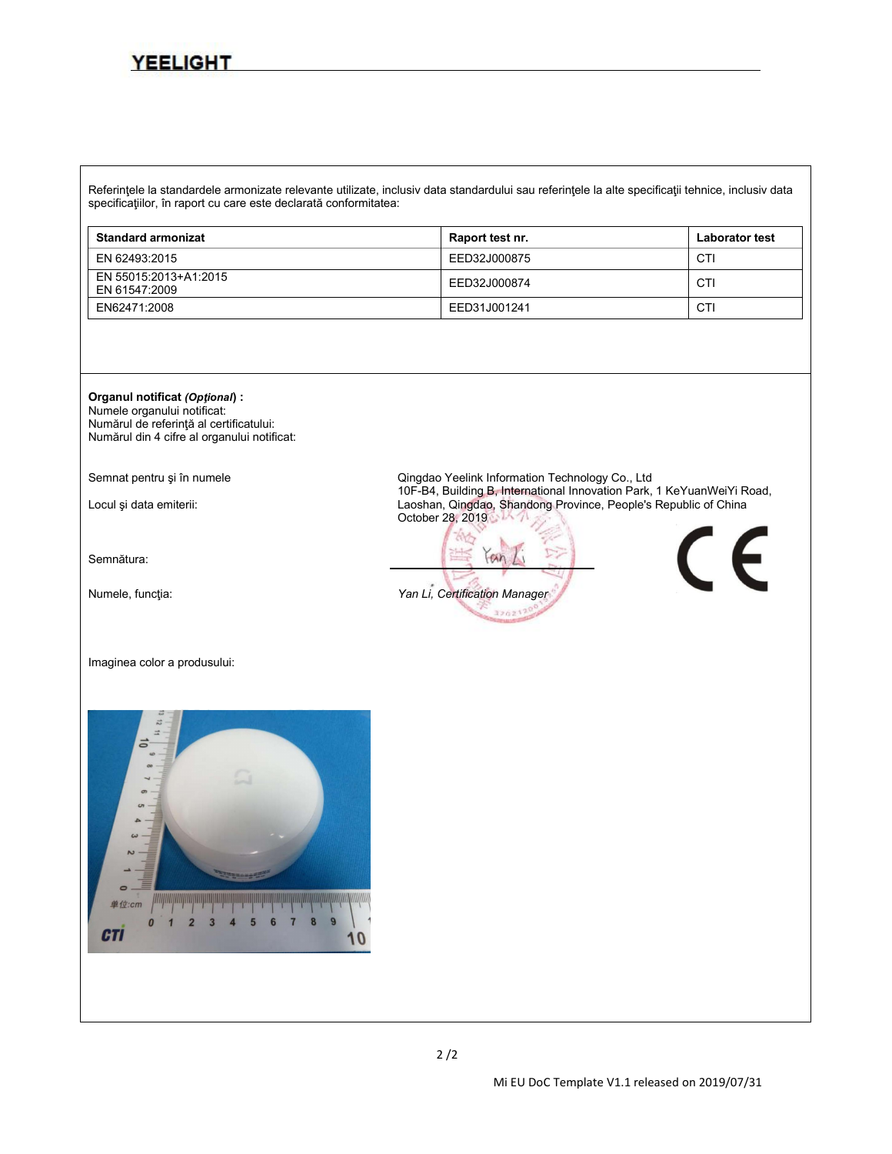Referinţele la standardele armonizate relevante utilizate, inclusiv data standardului sau referinţele la alte specificaţii tehnice, inclusiv data specificaţiilor, în raport cu care este declarată conformitatea:

| <b>Standard armonizat</b>              | Raport test nr. | <b>Laborator test</b> |
|----------------------------------------|-----------------|-----------------------|
| EN 62493:2015                          | EED32J000875    | <b>CTI</b>            |
| EN 55015:2013+A1:2015<br>EN 61547:2009 | EED32J000874    | <b>CTI</b>            |
| EN62471:2008                           | EED31J001241    | CTI                   |

### **Organul notificat** *(Opţional***) :**

Numele organului notificat: Numărul de referinţă al certificatului: Numărul din 4 cifre al organului notificat:

Semnătura:

Imaginea color a produsului:



Semnat pentru și în numele<br>10F-B4, Building B, International Innovation Park, 1 KeYuanWeiYi Road, Locul și data emiterii: 10F-B4, Building B, International Innovation Park, 1 Australia Innovation Park, 1 Australia et al. 1 Australia et al. 1 Australia et al. 2 Australia et al. 2 Australia et al. 2 Australia et al. 2 Au October 28, 2019

 $an$ Numele, funcţia: *Yan Li, Certification Manager* 320217

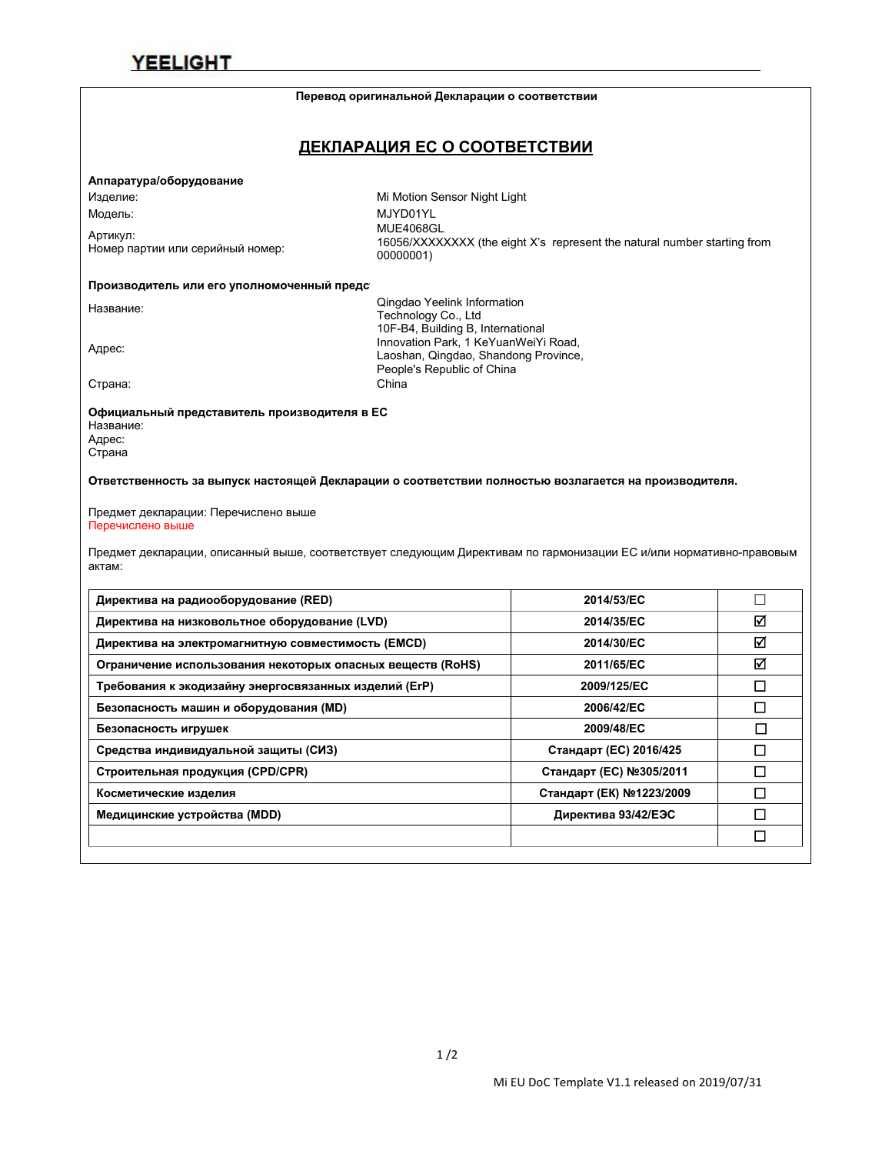#### **Перевод оригинальной Декларации о соответствии**

### **ДЕКЛАРАЦИЯ ЕС О СООТВЕТСТВИИ**

#### **Аппаратура/оборудование**

Артикул:<br>Номер партии или серийный номер:

Изделие: Mi Motion Sensor Night Light Модель: MJYD01YL Номер партии или серийный номер: MUE4068GL 16056/XXXXXXXX (the eight X's represent the natural number starting from 00000001)

#### Производитель или его уполномоченный предс

Название: Qingdao Yeelink Information Technology Co., Ltd 10F-B4, Building B, International<br>Innovation Park, 1 KeYuanWeiYi Road,<br>Looshan Qingdoo, Shandong Province Laoshan, Qingdao, Shandong Province, People's Republic of China Страна: China

**Официальный представитель производителя в ЕС** Название: Адрес: Страна

**Ответственность за выпуск настоящей Декларации о соответствии полностью возлагается на производителя.**

Предмет декларации: Перечислено выше Перечислено выше

Предмет декларации, описанный выше, соответствует следующим Директивам по гармонизации ЕС и/или нормативно-правовым актам:

| Директива на радиооборудование (RED)                       | 2014/53/EC               |        |
|------------------------------------------------------------|--------------------------|--------|
| Директива на низковольтное оборудование (LVD)              | 2014/35/EC               | ☑      |
| Директива на электромагнитную совместимость (EMCD)         | 2014/30/EC               | ☑      |
| Ограничение использования некоторых опасных веществ (RoHS) | 2011/65/EC               | ☑      |
| Требования к экодизайну энергосвязанных изделий (ErP)      | 2009/125/EC              | □      |
| Безопасность машин и оборудования (MD)                     | 2006/42/EC               | ◻      |
| Безопасность игрушек                                       | 2009/48/EC               | П      |
| Средства индивидуальной защиты (СИЗ)                       | Стандарт (ЕС) 2016/425   | □      |
| Строительная продукция (CPD/CPR)                           | Стандарт (ЕС) №305/2011  | $\Box$ |
| Косметические изделия                                      | Стандарт (ЕК) №1223/2009 | ◻      |
| Медицинские устройства (MDD)                               | Директива 93/42/ЕЭС      | ◻      |
|                                                            |                          | □      |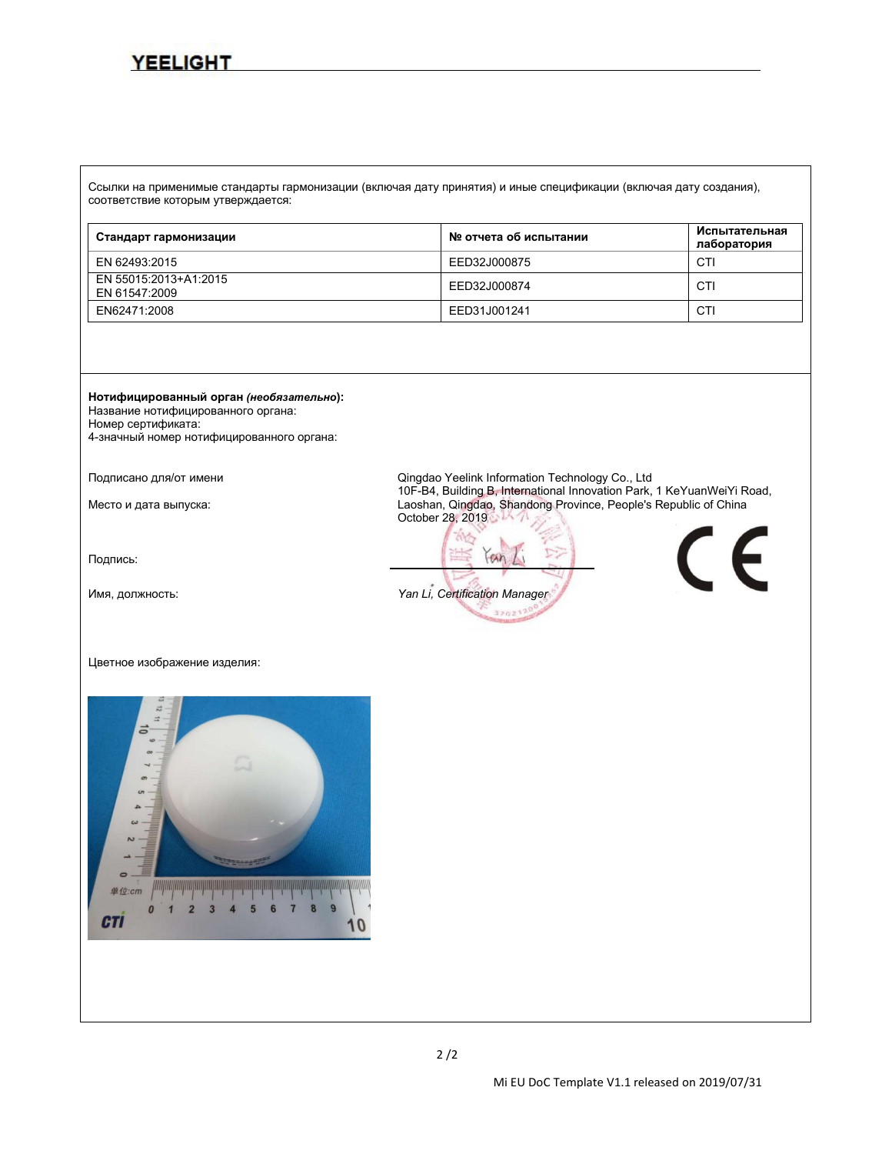Ссылки на применимые стандарты гармонизации (включая дату принятия) и иные спецификации (включая дату создания), соответствие которым утверждается:

| Стандарт гармонизации                  | № отчета об испытании | Испытательная<br>лаборатория |
|----------------------------------------|-----------------------|------------------------------|
| EN 62493:2015                          | EED32J000875          | CTI                          |
| EN 55015:2013+A1:2015<br>EN 61547:2009 | EED32J000874          | CTI                          |
| EN62471:2008                           | EED31J001241          | CTI                          |

**Нотифицированный орган** *(необязательно***):** Название нотифицированного органа: Номер сертификата:

4-значный номер нотифицированного органа:

Подпись:

#### Цветное изображение изделия:



Подписано для/от имени **Dinglao Yeelink Information Technology Co.**, Ltd<br>10F-B4, Building B, International Innovation Park, 1 KeYuanWeiYi Road, Место и дата выпуска: 10F-B4, Building B, International Innovation Parkers, 2 Keyuan Laoshan, Qingdao, Shandong Province, People's Republic of China October 28, 2019

 $an$ Имя, должность: *Yan Li, Certification Manager*320217

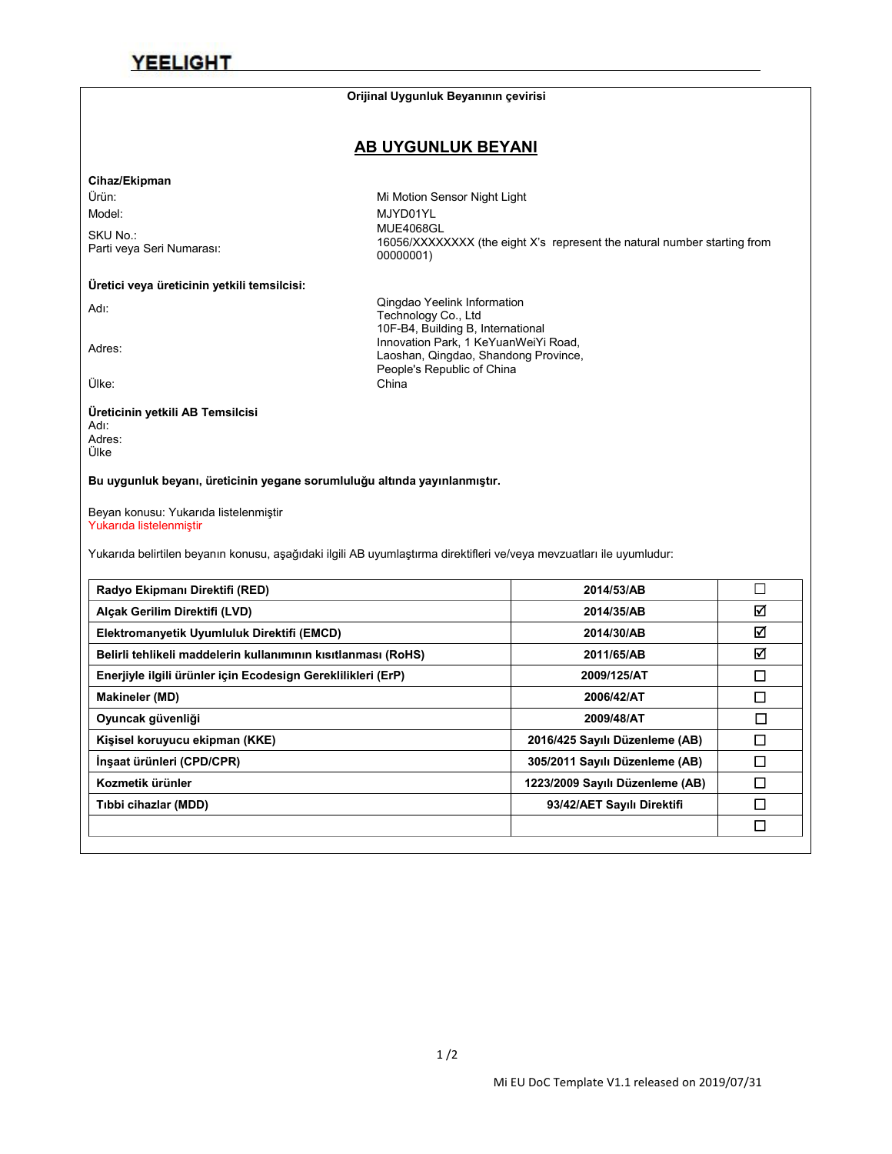#### **Orijinal Uygunluk Beyanının çevirisi**

### **AB UYGUNLUK BEYANI**

Laoshan, Qingdao, Shandong Province,

People's Republic of China

00000001)

#### **Cihaz/Ekipman**

Ürün: Mi Motion Sensor Night Light Model: MJYD01YL

SKU No.:<br>Parti veya Seri Numarası: Parti veya Seri Numarası: MUE4068GL 16056/XXXXXXXX (the eight X's represent the natural number starting from

#### **Üretici veya üreticinin yetkili temsilcisi:**

Adı: Adı: Adı: Cüngdao Yeelink Information<br>Technology Co., Ltd<br>10F-B4, Building B, International<br>10F-B4, Building B, International

10F-B4, Building B, International<br>Innovation Park, 1 KeYuanWeiYi Road,<br>Looshan, Oingdoo, Shandong Province

Ülke: China

#### **Üreticinin yetkili AB Temsilcisi** Adı: Adres: Ülke

**Bu uygunluk beyanı, üreticinin yegane sorumluluğu altında yayınlanmıştır.**

Beyan konusu: Yukarıda listelenmiştir Yukarıda listelenmiştir

Yukarıda belirtilen beyanın konusu, aşağıdaki ilgili AB uyumlaştırma direktifleri ve/veya mevzuatları ile uyumludur:

| Radyo Ekipmanı Direktifi (RED)                                | 2014/53/AB                      | $\Box$ |
|---------------------------------------------------------------|---------------------------------|--------|
| Alçak Gerilim Direktifi (LVD)                                 | 2014/35/AB                      | ☑      |
| Elektromanyetik Uyumluluk Direktifi (EMCD)                    | 2014/30/AB                      | ☑      |
| Belirli tehlikeli maddelerin kullanımının kısıtlanması (RoHS) | 2011/65/AB                      | ☑      |
| Enerjiyle ilgili ürünler için Ecodesign Gereklilikleri (ErP)  | 2009/125/AT                     | □      |
| <b>Makineler (MD)</b>                                         | 2006/42/AT                      | □      |
| Oyuncak güvenliği                                             | 2009/48/AT                      | $\Box$ |
| Kişisel koruyucu ekipman (KKE)                                | 2016/425 Sayılı Düzenleme (AB)  | □      |
| İnşaat ürünleri (CPD/CPR)                                     | 305/2011 Sayılı Düzenleme (AB)  | ◻      |
| Kozmetik ürünler                                              | 1223/2009 Sayılı Düzenleme (AB) | □      |
| Tibbi cihazlar (MDD)                                          | 93/42/AET Sayılı Direktifi      | □      |
|                                                               |                                 | □      |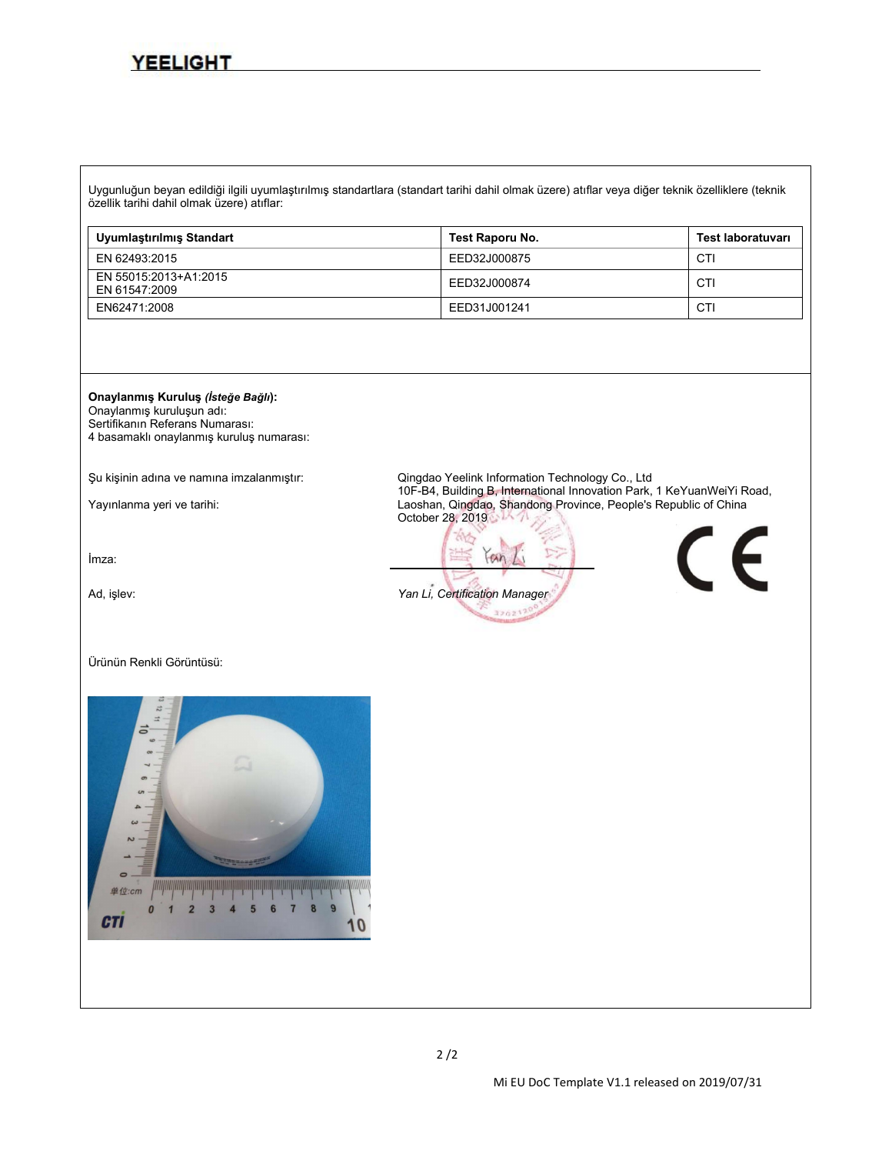Uygunluğun beyan edildiğiilgili uyumlaştırılmış standartlara (standart tarihi dahil olmak üzere) atıflar veya diğer teknik özelliklere (teknik özellik tarihi dahil olmak üzere) atıflar:

| Uyumlastırılmış Standart               | Test Raporu No. | Test laboratuvarı |
|----------------------------------------|-----------------|-------------------|
| EN 62493:2015                          | EED32J000875    | CTI               |
| EN 55015:2013+A1:2015<br>EN 61547:2009 | EED32J000874    | CTI               |
| EN62471:2008                           | EED31J001241    | CTI               |



Onaylanmış kuruluşun adı: Sertifikanın Referans Numarası: 4 basamaklı onaylanmış kuruluş numarası:

İmza:

#### Ürünün Renkli Görüntüsü:



Şu kişinin adına ve namına imzalanmıştır: Qingdao Yeelink Information Technology Co., Ltd Yayınlanma yeri ve tarihi: 10F-B4, Building B, International Innovation Park, 1 Australian Park, 1 Keyuan Laoshan, Qingdao, Shandong Province, People's Republic of China October 28, 2019

 $an$ Ad, işlev: *Yan Li, Certification Manager*320217

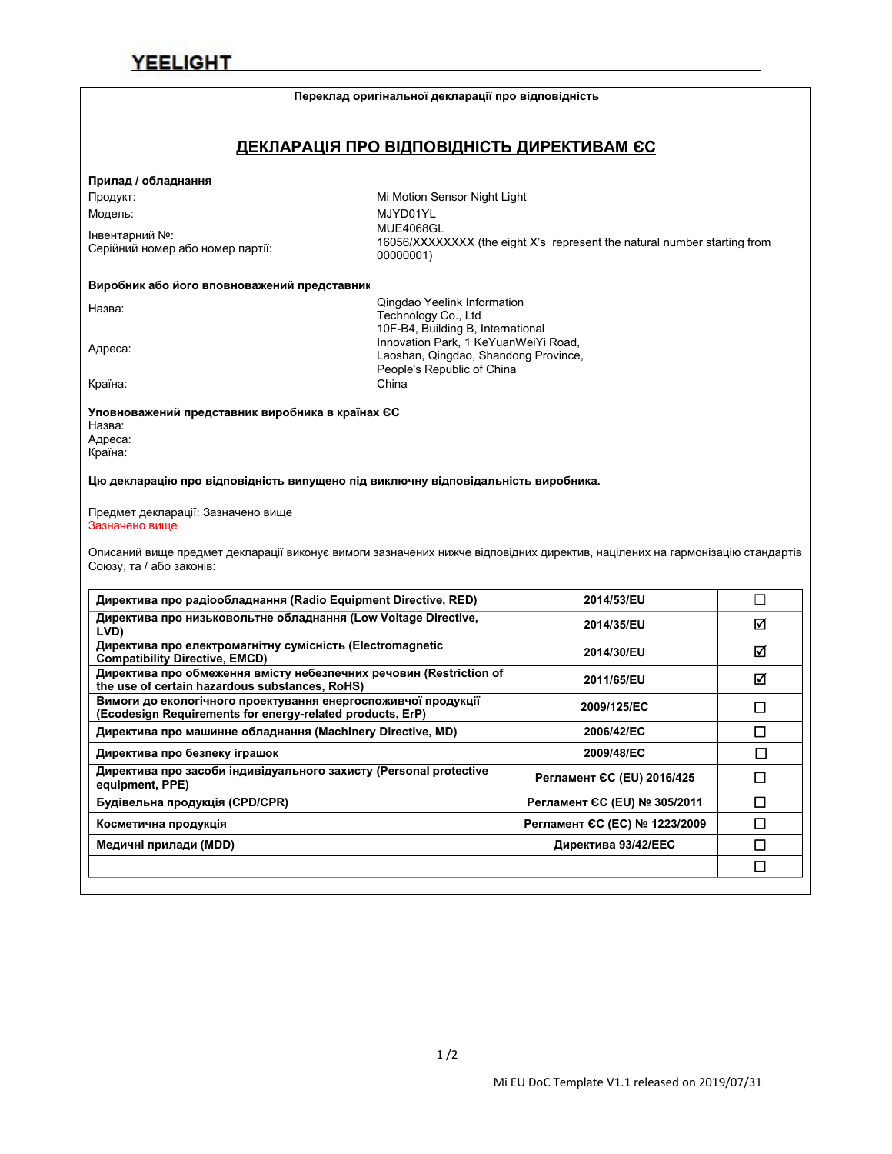#### **Переклад оригінальної декларації про відповідність**

### **ДЕКЛАРАЦІЯ ПРО ВІДПОВІДНІСТЬ ДИРЕКТИВАМ ЄС**

### **Прилад / обладнання**

Інвентарний №:<br>Серійний номер або номер партії:

Продукт: Mi Motion Sensor Night Light Модель: MJYD01YL Серійний номер або номер партії: MUE4068GL 16056/XXXXXXXX (the eight X's represent the natural number starting from 00000001)

#### **Виробник або його вповноважений представник:**

| а<br>с<br>г<br>↷ |
|------------------|
|                  |

Qingdao Yeelink Information<br>Technology Co., Ltd<br>10F-B4, Building B, International 10F-B4, Building B, International<br>Innovation Park, 1 KeYuanWeiYi Road,<br>Looshan Qingdoo, Shandong Province Laoshan, Qingdao, Shandong Province, People's Republic of China Країна: China

**Уповноважений представник виробника в країнах ЄС** Назва: Адреса: Країна:

**Цю декларацію про відповідність випущено під виключну відповідальність виробника.**

#### Предмет декларації: Зазначено вище Зазначено вище

Описаний вище предмет декларації виконує вимоги зазначених нижче відповідних директив, націлених на гармонізацію стандартів Союзу, та / або законів:

| Директива про радіообладнання (Radio Equipment Directive, RED)                                                             | 2014/53/EU                    |   |
|----------------------------------------------------------------------------------------------------------------------------|-------------------------------|---|
| Директива про низьковольтне обладнання (Low Voltage Directive,<br>LVD)                                                     | 2014/35/EU                    | ☑ |
| Директива про електромагнітну сумісність (Electromagnetic<br><b>Compatibility Directive, EMCD)</b>                         | 2014/30/EU                    | ☑ |
| Директива про обмеження вмісту небезпечних речовин (Restriction of<br>the use of certain hazardous substances, RoHS)       | 2011/65/EU                    | ☑ |
| Вимоги до екологічного проектування енергоспоживчої продукції<br>(Ecodesign Requirements for energy-related products, ErP) | 2009/125/EC                   | □ |
| Директива про машинне обладнання (Machinery Directive, MD)                                                                 | 2006/42/EC                    | П |
| Директива про безпеку іграшок                                                                                              | 2009/48/EC                    |   |
| Директива про засоби індивідуального захисту (Personal protective<br>equipment, PPE)                                       | Регламент СС (EU) 2016/425    | П |
| Будівельна продукція (CPD/CPR)                                                                                             | Регламент ЄС (EU) № 305/2011  | П |
| Косметична продукція                                                                                                       | Регламент ЄС (ЕС) № 1223/2009 | П |
| Медичні прилади (MDD)                                                                                                      | Директива 93/42/ЕЕС           |   |
|                                                                                                                            |                               | □ |